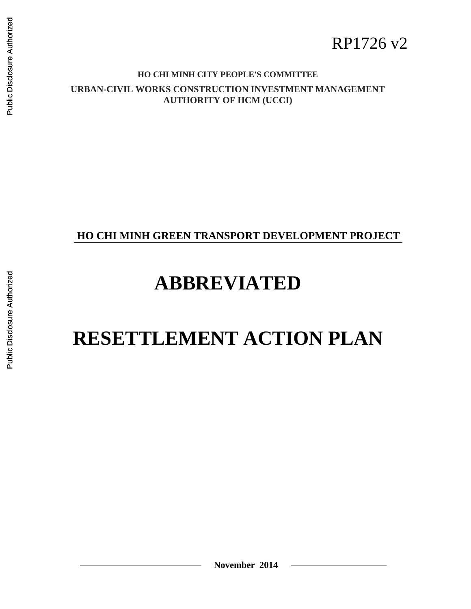### **HO CHI MINH CITY PEOPLE'S COMMITTEE URBAN-CIVIL WORKS CONSTRUCTION INVESTMENT MANAGEMENT AUTHORITY OF HCM (UCCI)**

## **HO CHI MINH GREEN TRANSPORT DEVELOPMENT PROJECT**

# **ABBREVIATED**

# **RESETTLEMENT ACTION PLAN**

**November 2014**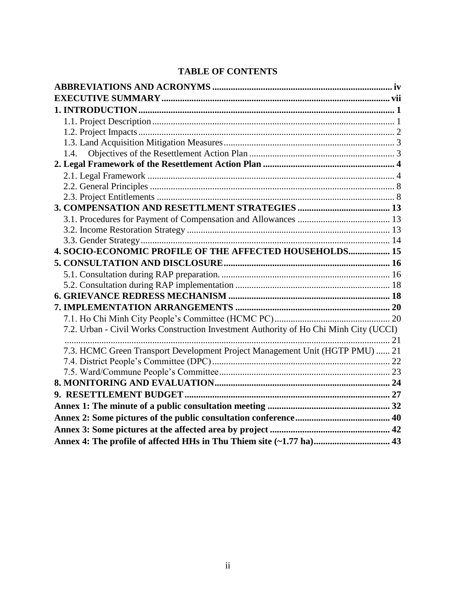| <b>TABLE OF CONTENTS</b> |  |
|--------------------------|--|
|--------------------------|--|

| 1.4.                                                                                  |  |
|---------------------------------------------------------------------------------------|--|
|                                                                                       |  |
|                                                                                       |  |
|                                                                                       |  |
|                                                                                       |  |
|                                                                                       |  |
|                                                                                       |  |
|                                                                                       |  |
|                                                                                       |  |
| 4. SOCIO-ECONOMIC PROFILE OF THE AFFECTED HOUSEHOLDS 15                               |  |
|                                                                                       |  |
|                                                                                       |  |
|                                                                                       |  |
|                                                                                       |  |
|                                                                                       |  |
|                                                                                       |  |
| 7.2. Urban - Civil Works Construction Investment Authority of Ho Chi Minh City (UCCI) |  |
|                                                                                       |  |
| 7.3. HCMC Green Transport Development Project Management Unit (HGTP PMU)  21          |  |
|                                                                                       |  |
|                                                                                       |  |
|                                                                                       |  |
|                                                                                       |  |
|                                                                                       |  |
|                                                                                       |  |
|                                                                                       |  |
| Annex 4: The profile of affected HHs in Thu Thiem site (~1.77 ha) 43                  |  |
|                                                                                       |  |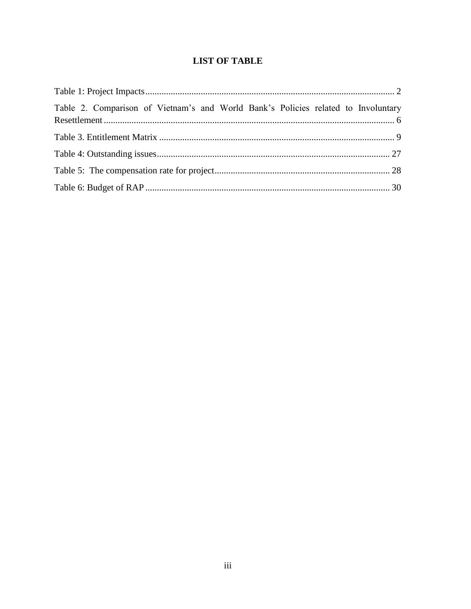### **LIST OF TABLE**

| Table 2. Comparison of Vietnam's and World Bank's Policies related to Involuntary |  |
|-----------------------------------------------------------------------------------|--|
|                                                                                   |  |
|                                                                                   |  |
|                                                                                   |  |
|                                                                                   |  |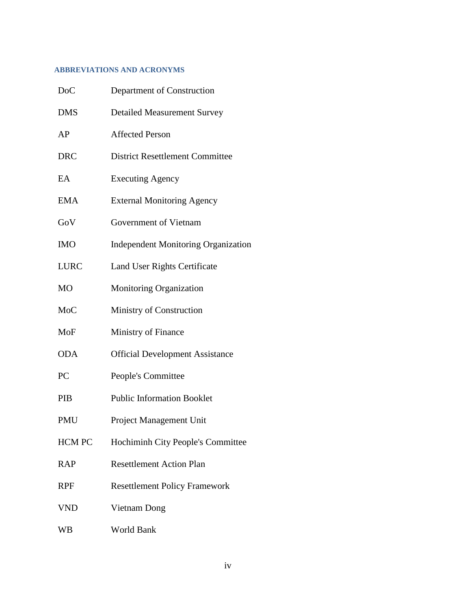#### <span id="page-3-0"></span>**ABBREVIATIONS AND ACRONYMS**

| D <sub>o</sub> C | Department of Construction                 |
|------------------|--------------------------------------------|
| <b>DMS</b>       | <b>Detailed Measurement Survey</b>         |
| AP               | <b>Affected Person</b>                     |
| <b>DRC</b>       | <b>District Resettlement Committee</b>     |
| EA               | <b>Executing Agency</b>                    |
| <b>EMA</b>       | <b>External Monitoring Agency</b>          |
| GoV              | Government of Vietnam                      |
| <b>IMO</b>       | <b>Independent Monitoring Organization</b> |
| <b>LURC</b>      | Land User Rights Certificate               |
| M <sub>O</sub>   | <b>Monitoring Organization</b>             |
| MoC              | Ministry of Construction                   |
| MoF              | Ministry of Finance                        |
| <b>ODA</b>       | <b>Official Development Assistance</b>     |
| PC               | People's Committee                         |
| PIB              | <b>Public Information Booklet</b>          |
| <b>PMU</b>       | Project Management Unit                    |
| <b>HCM PC</b>    | Hochiminh City People's Committee          |
| <b>RAP</b>       | <b>Resettlement Action Plan</b>            |
| <b>RPF</b>       | <b>Resettlement Policy Framework</b>       |
| <b>VND</b>       | Vietnam Dong                               |
| <b>WB</b>        | World Bank                                 |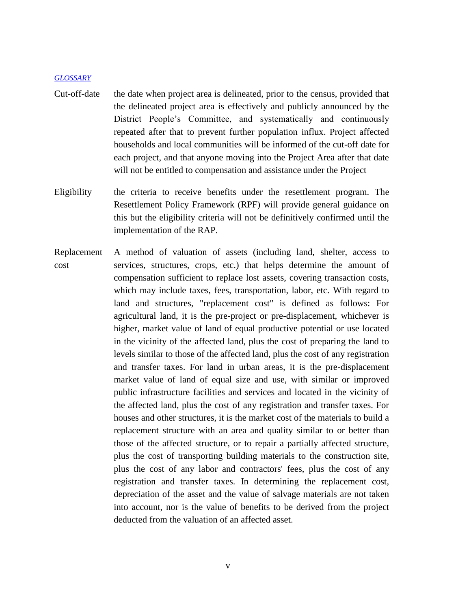#### *GLOSSARY*

- Cut-off-date the date when project area is delineated, prior to the census, provided that the delineated project area is effectively and publicly announced by the District People's Committee, and systematically and continuously repeated after that to prevent further population influx. Project affected households and local communities will be informed of the cut-off date for each project, and that anyone moving into the Project Area after that date will not be entitled to compensation and assistance under the Project
- Eligibility the criteria to receive benefits under the resettlement program. The Resettlement Policy Framework (RPF) will provide general guidance on this but the eligibility criteria will not be definitively confirmed until the implementation of the RAP.
- Replacement cost A method of valuation of assets (including land, shelter, access to services, structures, crops, etc.) that helps determine the amount of compensation sufficient to replace lost assets, covering transaction costs, which may include taxes, fees, transportation, labor, etc. With regard to land and structures, "replacement cost" is defined as follows: For agricultural land, it is the pre-project or pre-displacement, whichever is higher, market value of land of equal productive potential or use located in the vicinity of the affected land, plus the cost of preparing the land to levels similar to those of the affected land, plus the cost of any registration and transfer taxes. For land in urban areas, it is the pre-displacement market value of land of equal size and use, with similar or improved public infrastructure facilities and services and located in the vicinity of the affected land, plus the cost of any registration and transfer taxes. For houses and other structures, it is the market cost of the materials to build a replacement structure with an area and quality similar to or better than those of the affected structure, or to repair a partially affected structure, plus the cost of transporting building materials to the construction site, plus the cost of any labor and contractors' fees, plus the cost of any registration and transfer taxes. In determining the replacement cost, depreciation of the asset and the value of salvage materials are not taken into account, nor is the value of benefits to be derived from the project deducted from the valuation of an affected asset.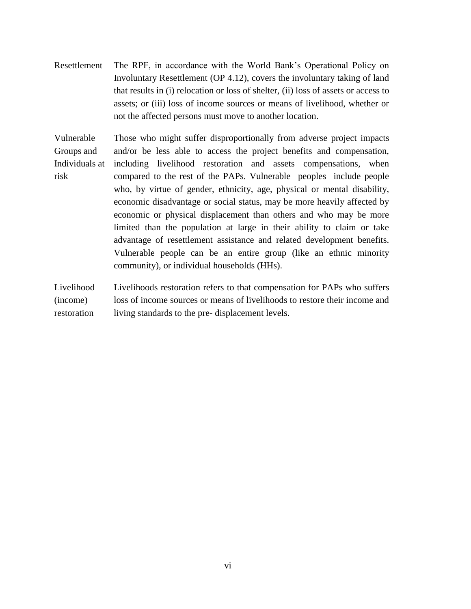- Resettlement The RPF, in accordance with the World Bank's Operational Policy on Involuntary Resettlement (OP 4.12), covers the involuntary taking of land that results in (i) relocation or loss of shelter, (ii) loss of assets or access to assets; or (iii) loss of income sources or means of livelihood, whether or not the affected persons must move to another location.
- Vulnerable Groups and Individuals at risk Those who might suffer disproportionally from adverse project impacts and/or be less able to access the project benefits and compensation, including livelihood restoration and assets compensations, when compared to the rest of the PAPs. Vulnerable peoples include people who, by virtue of gender, ethnicity, age, physical or mental disability, economic disadvantage or social status, may be more heavily affected by economic or physical displacement than others and who may be more limited than the population at large in their ability to claim or take advantage of resettlement assistance and related development benefits. Vulnerable people can be an entire group (like an ethnic minority community), or individual households (HHs).

Livelihood (income) restoration Livelihoods restoration refers to that compensation for PAPs who suffers loss of income sources or means of livelihoods to restore their income and living standards to the pre- displacement levels.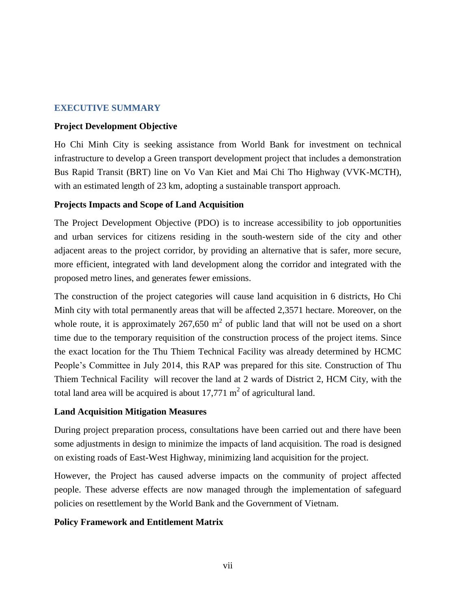#### <span id="page-6-0"></span>**EXECUTIVE SUMMARY**

#### **Project Development Objective**

Ho Chi Minh City is seeking assistance from World Bank for investment on technical infrastructure to develop a Green transport development project that includes a demonstration Bus Rapid Transit (BRT) line on Vo Van Kiet and Mai Chi Tho Highway (VVK-MCTH), with an estimated length of 23 km, adopting a sustainable transport approach.

#### **Projects Impacts and Scope of Land Acquisition**

The Project Development Objective (PDO) is to increase accessibility to job opportunities and urban services for citizens residing in the south-western side of the city and other adjacent areas to the project corridor, by providing an alternative that is safer, more secure, more efficient, integrated with land development along the corridor and integrated with the proposed metro lines, and generates fewer emissions.

The construction of the project categories will cause land acquisition in 6 districts, Ho Chi Minh city with total permanently areas that will be affected 2,3571 hectare. Moreover, on the whole route, it is approximately  $267,650$  m<sup>2</sup> of public land that will not be used on a short time due to the temporary requisition of the construction process of the project items. Since the exact location for the Thu Thiem Technical Facility was already determined by HCMC People's Committee in July 2014, this RAP was prepared for this site. Construction of Thu Thiem Technical Facility will recover the land at 2 wards of District 2, HCM City, with the total land area will be acquired is about  $17,771 \text{ m}^2$  of agricultural land.

#### **Land Acquisition Mitigation Measures**

During project preparation process, consultations have been carried out and there have been some adjustments in design to minimize the impacts of land acquisition. The road is designed on existing roads of East-West Highway, minimizing land acquisition for the project.

However, the Project has caused adverse impacts on the community of project affected people. These adverse effects are now managed through the implementation of safeguard policies on resettlement by the World Bank and the Government of Vietnam.

#### **Policy Framework and Entitlement Matrix**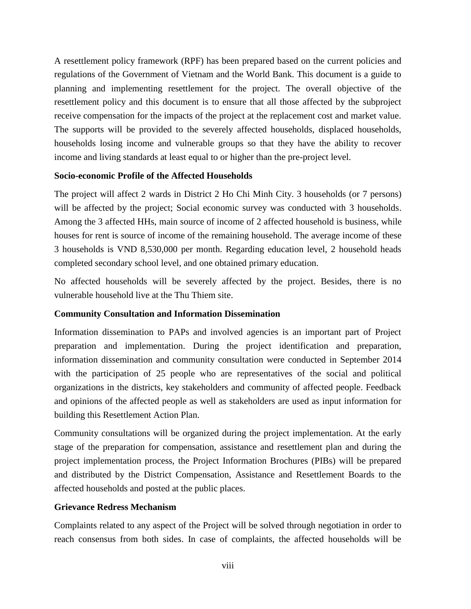A resettlement policy framework (RPF) has been prepared based on the current policies and regulations of the Government of Vietnam and the World Bank. This document is a guide to planning and implementing resettlement for the project. The overall objective of the resettlement policy and this document is to ensure that all those affected by the subproject receive compensation for the impacts of the project at the replacement cost and market value. The supports will be provided to the severely affected households, displaced households, households losing income and vulnerable groups so that they have the ability to recover income and living standards at least equal to or higher than the pre-project level.

#### **Socio-economic Profile of the Affected Households**

The project will affect 2 wards in District 2 Ho Chi Minh City. 3 households (or 7 persons) will be affected by the project; Social economic survey was conducted with 3 households. Among the 3 affected HHs, main source of income of 2 affected household is business, while houses for rent is source of income of the remaining household. The average income of these 3 households is VND 8,530,000 per month. Regarding education level, 2 household heads completed secondary school level, and one obtained primary education.

No affected households will be severely affected by the project. Besides, there is no vulnerable household live at the Thu Thiem site.

#### **Community Consultation and Information Dissemination**

Information dissemination to PAPs and involved agencies is an important part of Project preparation and implementation. During the project identification and preparation, information dissemination and community consultation were conducted in September 2014 with the participation of 25 people who are representatives of the social and political organizations in the districts, key stakeholders and community of affected people. Feedback and opinions of the affected people as well as stakeholders are used as input information for building this Resettlement Action Plan.

Community consultations will be organized during the project implementation. At the early stage of the preparation for compensation, assistance and resettlement plan and during the project implementation process, the Project Information Brochures (PIBs) will be prepared and distributed by the District Compensation, Assistance and Resettlement Boards to the affected households and posted at the public places.

#### **Grievance Redress Mechanism**

Complaints related to any aspect of the Project will be solved through negotiation in order to reach consensus from both sides. In case of complaints, the affected households will be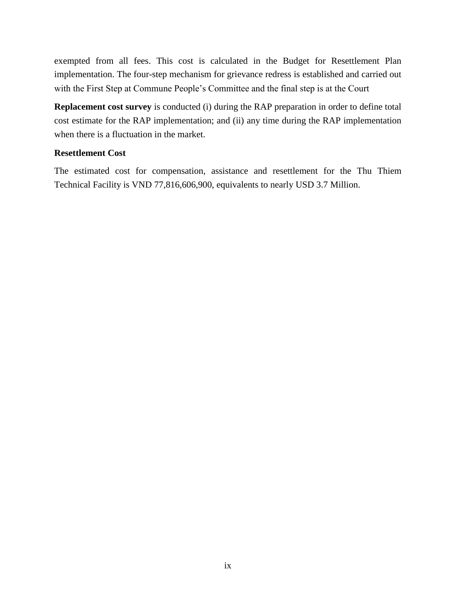exempted from all fees. This cost is calculated in the Budget for Resettlement Plan implementation. The four-step mechanism for grievance redress is established and carried out with the First Step at Commune People's Committee and the final step is at the Court

**Replacement cost survey** is conducted (i) during the RAP preparation in order to define total cost estimate for the RAP implementation; and (ii) any time during the RAP implementation when there is a fluctuation in the market.

#### **Resettlement Cost**

The estimated cost for compensation, assistance and resettlement for the Thu Thiem Technical Facility is VND 77,816,606,900, equivalents to nearly USD 3.7 Million.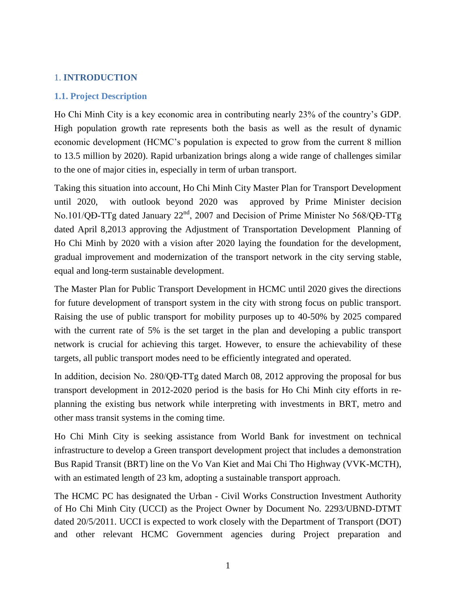#### <span id="page-9-0"></span>1. **INTRODUCTION**

#### <span id="page-9-1"></span>**1.1. Project Description**

Ho Chi Minh City is a key economic area in contributing nearly 23% of the country's GDP. High population growth rate represents both the basis as well as the result of dynamic economic development (HCMC's population is expected to grow from the current 8 million to 13.5 million by 2020). Rapid urbanization brings along a wide range of challenges similar to the one of major cities in, especially in term of urban transport.

Taking this situation into account, Ho Chi Minh City Master Plan for Transport Development until 2020, with outlook beyond 2020 was approved by Prime Minister decision No.101/QĐ-TTg dated January 22<sup>nd</sup>, 2007 and Decision of Prime Minister No 568/QĐ-TTg dated April 8,2013 approving the Adjustment of Transportation Development Planning of Ho Chi Minh by 2020 with a vision after 2020 laying the foundation for the development, gradual improvement and modernization of the transport network in the city serving stable, equal and long-term sustainable development.

The Master Plan for Public Transport Development in HCMC until 2020 gives the directions for future development of transport system in the city with strong focus on public transport. Raising the use of public transport for mobility purposes up to 40-50% by 2025 compared with the current rate of 5% is the set target in the plan and developing a public transport network is crucial for achieving this target. However, to ensure the achievability of these targets, all public transport modes need to be efficiently integrated and operated.

In addition, decision No. 280/QĐ-TTg dated March 08, 2012 approving the proposal for bus transport development in 2012-2020 period is the basis for Ho Chi Minh city efforts in replanning the existing bus network while interpreting with investments in BRT, metro and other mass transit systems in the coming time.

Ho Chi Minh City is seeking assistance from World Bank for investment on technical infrastructure to develop a Green transport development project that includes a demonstration Bus Rapid Transit (BRT) line on the Vo Van Kiet and Mai Chi Tho Highway (VVK-MCTH), with an estimated length of 23 km, adopting a sustainable transport approach.

The HCMC PC has designated the Urban - Civil Works Construction Investment Authority of Ho Chi Minh City (UCCI) as the Project Owner by Document No. 2293/UBND-DTMT dated 20/5/2011. UCCI is expected to work closely with the Department of Transport (DOT) and other relevant HCMC Government agencies during Project preparation and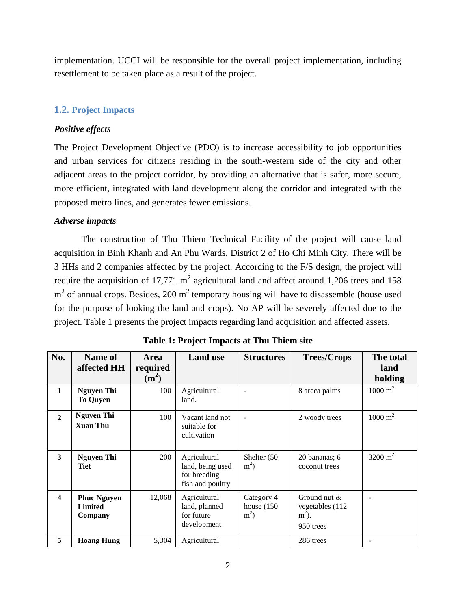implementation. UCCI will be responsible for the overall project implementation, including resettlement to be taken place as a result of the project.

#### <span id="page-10-0"></span>**1.2. Project Impacts**

#### *Positive effects*

The Project Development Objective (PDO) is to increase accessibility to job opportunities and urban services for citizens residing in the south-western side of the city and other adjacent areas to the project corridor, by providing an alternative that is safer, more secure, more efficient, integrated with land development along the corridor and integrated with the proposed metro lines, and generates fewer emissions.

#### *Adverse impacts*

The construction of Thu Thiem Technical Facility of the project will cause land acquisition in Binh Khanh and An Phu Wards, District 2 of Ho Chi Minh City. There will be 3 HHs and 2 companies affected by the project. According to the F/S design, the project will require the acquisition of 17,771  $m^2$  agricultural land and affect around 1,206 trees and 158  $m<sup>2</sup>$  of annual crops. Besides, 200 m<sup>2</sup> temporary housing will have to disassemble (house used for the purpose of looking the land and crops). No AP will be severely affected due to the project. Table 1 presents the project impacts regarding land acquisition and affected assets.

<span id="page-10-1"></span>

| No.                     | Name of<br>affected HH                          | <b>Area</b><br>required<br>$(m^2)$ | <b>Land use</b>                                                      | <b>Structures</b>                     | <b>Trees/Crops</b>                                       | The total<br>land<br>holding |
|-------------------------|-------------------------------------------------|------------------------------------|----------------------------------------------------------------------|---------------------------------------|----------------------------------------------------------|------------------------------|
| $\mathbf{1}$            | <b>Nguyen Thi</b><br><b>To Quyen</b>            | 100                                | Agricultural<br>land.                                                |                                       | 8 areca palms                                            | $1000 \text{ m}^2$           |
| $\mathbf{2}$            | <b>Nguyen Thi</b><br><b>Xuan Thu</b>            | 100                                | Vacant land not<br>suitable for<br>cultivation                       |                                       | 2 woody trees                                            | $1000 \text{ m}^2$           |
| 3                       | <b>Nguyen Thi</b><br><b>Tiet</b>                | 200                                | Agricultural<br>land, being used<br>for breeding<br>fish and poultry | Shelter (50)<br>$m2$ )                | 20 bananas; 6<br>coconut trees                           | $3200 \text{ m}^2$           |
| $\overline{\mathbf{4}}$ | <b>Phuc Nguyen</b><br><b>Limited</b><br>Company | 12,068                             | Agricultural<br>land, planned<br>for future<br>development           | Category 4<br>house $(150)$<br>$m2$ ) | Ground nut &<br>vegetables (112<br>$m^2$ ).<br>950 trees |                              |
| 5                       | <b>Hoang Hung</b>                               | 5,304                              | Agricultural                                                         |                                       | 286 trees                                                |                              |

**Table 1: Project Impacts at Thu Thiem site**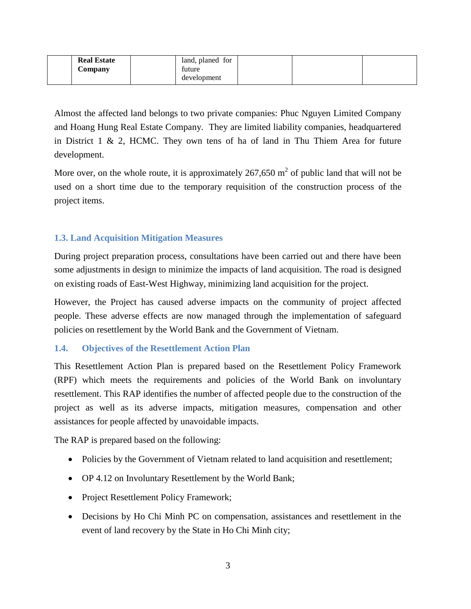| <b>Real Estate</b><br>$\mathbf{Company}$ | land, planed for<br>future<br>development |  |  |
|------------------------------------------|-------------------------------------------|--|--|
|                                          |                                           |  |  |

Almost the affected land belongs to two private companies: Phuc Nguyen Limited Company and Hoang Hung Real Estate Company. They are limited liability companies, headquartered in District 1 & 2, HCMC. They own tens of ha of land in Thu Thiem Area for future development.

More over, on the whole route, it is approximately 267,650  $m^2$  of public land that will not be used on a short time due to the temporary requisition of the construction process of the project items.

#### <span id="page-11-0"></span>**1.3. Land Acquisition Mitigation Measures**

During project preparation process, consultations have been carried out and there have been some adjustments in design to minimize the impacts of land acquisition. The road is designed on existing roads of East-West Highway, minimizing land acquisition for the project.

However, the Project has caused adverse impacts on the community of project affected people. These adverse effects are now managed through the implementation of safeguard policies on resettlement by the World Bank and the Government of Vietnam.

#### <span id="page-11-1"></span>**1.4. Objectives of the Resettlement Action Plan**

This Resettlement Action Plan is prepared based on the Resettlement Policy Framework (RPF) which meets the requirements and policies of the World Bank on involuntary resettlement. This RAP identifies the number of affected people due to the construction of the project as well as its adverse impacts, mitigation measures, compensation and other assistances for people affected by unavoidable impacts.

The RAP is prepared based on the following:

- Policies by the Government of Vietnam related to land acquisition and resettlement;
- OP 4.12 on Involuntary Resettlement by the World Bank;
- Project Resettlement Policy Framework;
- Decisions by Ho Chi Minh PC on compensation, assistances and resettlement in the event of land recovery by the State in Ho Chi Minh city;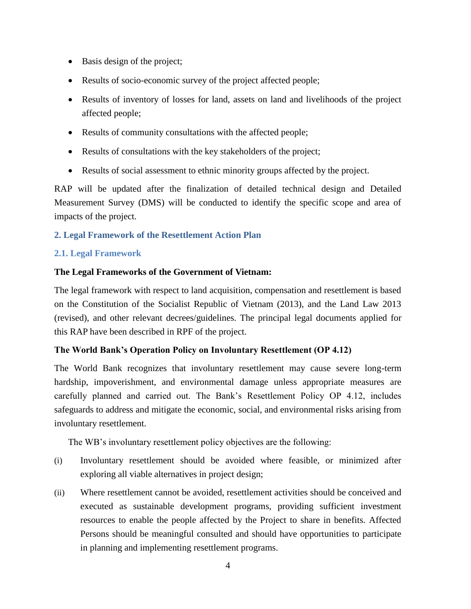- Basis design of the project;
- Results of socio-economic survey of the project affected people;
- Results of inventory of losses for land, assets on land and livelihoods of the project affected people;
- Results of community consultations with the affected people;
- Results of consultations with the key stakeholders of the project;
- Results of social assessment to ethnic minority groups affected by the project.

RAP will be updated after the finalization of detailed technical design and Detailed Measurement Survey (DMS) will be conducted to identify the specific scope and area of impacts of the project.

#### <span id="page-12-0"></span>**2. Legal Framework of the Resettlement Action Plan**

#### <span id="page-12-1"></span>**2.1. Legal Framework**

#### **The Legal Frameworks of the Government of Vietnam:**

The legal framework with respect to land acquisition, compensation and resettlement is based on the Constitution of the Socialist Republic of Vietnam (2013), and the Land Law 2013 (revised), and other relevant decrees/guidelines. The principal legal documents applied for this RAP have been described in RPF of the project.

#### **The World Bank's Operation Policy on Involuntary Resettlement (OP 4.12)**

The World Bank recognizes that involuntary resettlement may cause severe long-term hardship, impoverishment, and environmental damage unless appropriate measures are carefully planned and carried out. The Bank's Resettlement Policy OP 4.12, includes safeguards to address and mitigate the economic, social, and environmental risks arising from involuntary resettlement.

The WB's involuntary resettlement policy objectives are the following:

- (i) Involuntary resettlement should be avoided where feasible, or minimized after exploring all viable alternatives in project design;
- (ii) Where resettlement cannot be avoided, resettlement activities should be conceived and executed as sustainable development programs, providing sufficient investment resources to enable the people affected by the Project to share in benefits. Affected Persons should be meaningful consulted and should have opportunities to participate in planning and implementing resettlement programs.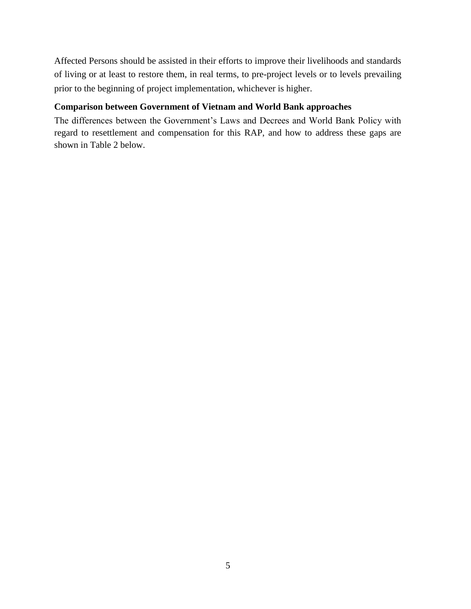Affected Persons should be assisted in their efforts to improve their livelihoods and standards of living or at least to restore them, in real terms, to pre-project levels or to levels prevailing prior to the beginning of project implementation, whichever is higher.

#### **Comparison between Government of Vietnam and World Bank approaches**

The differences between the Government's Laws and Decrees and World Bank Policy with regard to resettlement and compensation for this RAP, and how to address these gaps are shown in Table 2 below.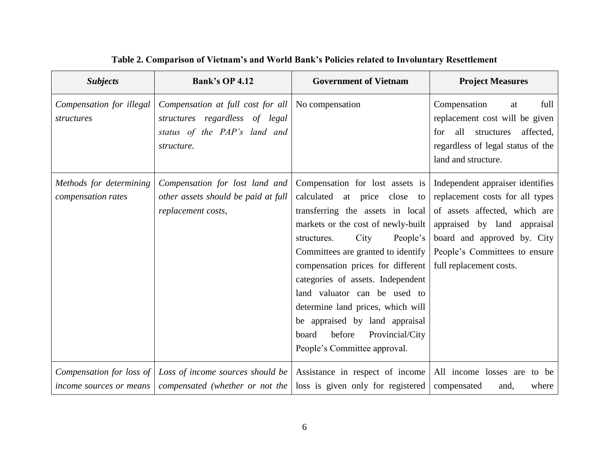<span id="page-14-0"></span>

| <b>Subjects</b>                                            | <b>Bank's OP 4.12</b>                                                                                             | <b>Government of Vietnam</b>                                                                                                                                                                                                                                                                                                                                                                                                                                                                                        | <b>Project Measures</b>                                                                                                                                                                    |
|------------------------------------------------------------|-------------------------------------------------------------------------------------------------------------------|---------------------------------------------------------------------------------------------------------------------------------------------------------------------------------------------------------------------------------------------------------------------------------------------------------------------------------------------------------------------------------------------------------------------------------------------------------------------------------------------------------------------|--------------------------------------------------------------------------------------------------------------------------------------------------------------------------------------------|
| Compensation for illegal<br>structures                     | Compensation at full cost for all<br>structures regardless of legal<br>status of the PAP's land and<br>structure. | No compensation                                                                                                                                                                                                                                                                                                                                                                                                                                                                                                     | Compensation<br>full<br>at<br>replacement cost will be given<br>for all structures<br>affected,<br>regardless of legal status of the<br>land and structure.                                |
| Methods for determining<br>compensation rates              | Compensation for lost land and<br>other assets should be paid at full<br>replacement costs,                       | Compensation for lost assets is   Independent appraiser identifies<br>close to<br>calculated at price<br>transferring the assets in local<br>markets or the cost of newly-built  <br>City<br>People's<br>structures.<br>Committees are granted to identify<br>compensation prices for different  <br>categories of assets. Independent<br>land valuator can be used to<br>determine land prices, which will<br>be appraised by land appraisal<br>before<br>Provincial/City<br>board<br>People's Committee approval. | replacement costs for all types<br>of assets affected, which are<br>appraised by land appraisal<br>board and approved by. City<br>People's Committees to ensure<br>full replacement costs. |
| Compensation for loss of<br><i>income sources or means</i> | Loss of income sources should be<br>compensated (whether or not the                                               | Assistance in respect of income<br>loss is given only for registered                                                                                                                                                                                                                                                                                                                                                                                                                                                | All income losses are to be<br>where<br>compensated<br>and,                                                                                                                                |

# **Table 2. Comparison of Vietnam's and World Bank's Policies related to Involuntary Resettlement**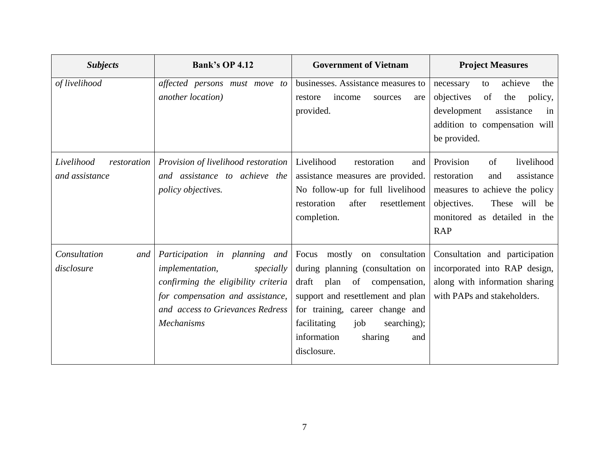| <b>Subjects</b>                             | <b>Bank's OP 4.12</b>                                                                                                                                                   | <b>Government of Vietnam</b>                                                                                                                                                                                                                                                                | <b>Project Measures</b>                                                                                                                                                           |
|---------------------------------------------|-------------------------------------------------------------------------------------------------------------------------------------------------------------------------|---------------------------------------------------------------------------------------------------------------------------------------------------------------------------------------------------------------------------------------------------------------------------------------------|-----------------------------------------------------------------------------------------------------------------------------------------------------------------------------------|
| of livelihood                               | affected persons must move to<br><i>another location</i> )                                                                                                              | businesses. Assistance measures to<br>restore<br>income<br>sources<br>are<br>provided.                                                                                                                                                                                                      | achieve<br>the<br>necessary<br>to<br>objectives<br>of<br>the<br>policy,<br>development<br>assistance<br>in<br>addition to compensation will<br>be provided.                       |
| Livelihood<br>restoration<br>and assistance | Provision of livelihood restoration<br>and assistance to achieve the<br>policy objectives.                                                                              | Livelihood<br>restoration<br>and<br>assistance measures are provided.<br>No follow-up for full livelihood<br>after<br>resettlement<br>restoration<br>completion.                                                                                                                            | livelihood<br>Provision<br>of<br>restoration<br>assistance<br>and<br>measures to achieve the policy<br>objectives.<br>These will be<br>monitored as detailed in the<br><b>RAP</b> |
| Consultation<br>and<br>disclosure           | <i>implementation,</i><br>specially<br>confirming the eligibility criteria<br>for compensation and assistance,<br>and access to Grievances Redress<br><b>Mechanisms</b> | Participation in planning and Focus mostly on consultation<br>during planning (consultation on<br>draft plan of compensation,<br>support and resettlement and plan<br>for training, career change and<br>facilitating<br>searching);<br>job<br>information<br>sharing<br>and<br>disclosure. | Consultation and participation<br>incorporated into RAP design,<br>along with information sharing<br>with PAPs and stakeholders.                                                  |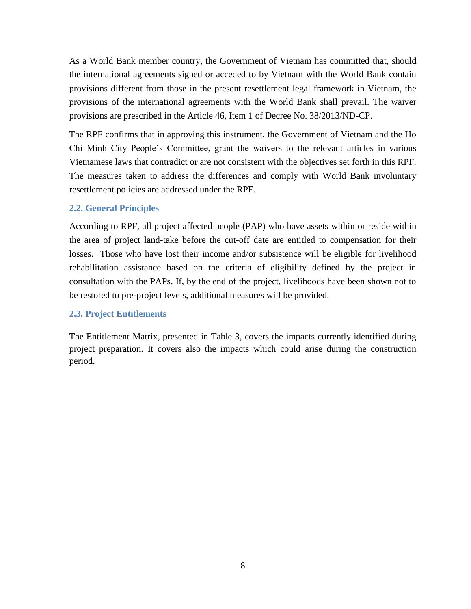As a World Bank member country, the Government of Vietnam has committed that, should the international agreements signed or acceded to by Vietnam with the World Bank contain provisions different from those in the present resettlement legal framework in Vietnam, the provisions of the international agreements with the World Bank shall prevail. The waiver provisions are prescribed in the Article 46, Item 1 of Decree No. 38/2013/ND-CP.

The RPF confirms that in approving this instrument, the Government of Vietnam and the Ho Chi Minh City People's Committee, grant the waivers to the relevant articles in various Vietnamese laws that contradict or are not consistent with the objectives set forth in this RPF. The measures taken to address the differences and comply with World Bank involuntary resettlement policies are addressed under the RPF.

#### <span id="page-16-0"></span>**2.2. General Principles**

According to RPF, all project affected people (PAP) who have assets within or reside within the area of project land-take before the cut-off date are entitled to compensation for their losses. Those who have lost their income and/or subsistence will be eligible for livelihood rehabilitation assistance based on the criteria of eligibility defined by the project in consultation with the PAPs. If, by the end of the project, livelihoods have been shown not to be restored to pre-project levels, additional measures will be provided.

#### <span id="page-16-1"></span>**2.3. Project Entitlements**

The Entitlement Matrix, presented in Table 3, covers the impacts currently identified during project preparation. It covers also the impacts which could arise during the construction period.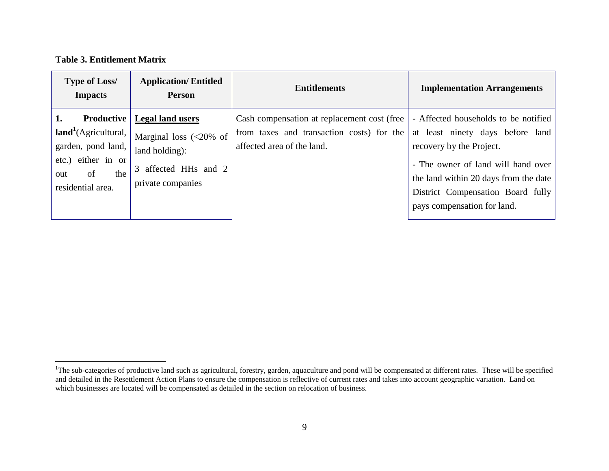#### **Table 3. Entitlement Matrix**

 $\overline{a}$ 

<span id="page-17-0"></span>

| <b>Type of Loss/</b><br><b>Impacts</b>                                                                                                     | <b>Application/Entitled</b><br><b>Person</b>                                                                              | <b>Entitlements</b>                                                                                                    | <b>Implementation Arrangements</b>                                                                                                                                                                                                                      |
|--------------------------------------------------------------------------------------------------------------------------------------------|---------------------------------------------------------------------------------------------------------------------------|------------------------------------------------------------------------------------------------------------------------|---------------------------------------------------------------------------------------------------------------------------------------------------------------------------------------------------------------------------------------------------------|
| <b>Productive</b><br>land <sup>1</sup> (Agricultural,<br>garden, pond land,<br>etc.) either in or<br>of<br>the<br>out<br>residential area. | <b>Legal land users</b><br>Marginal loss $\langle$ <20% of<br>land holding):<br>3 affected HHs and 2<br>private companies | Cash compensation at replacement cost (free<br>from taxes and transaction costs) for the<br>affected area of the land. | - Affected households to be notified<br>at least ninety days before land<br>recovery by the Project.<br>- The owner of land will hand over<br>the land within 20 days from the date<br>District Compensation Board fully<br>pays compensation for land. |

<sup>&</sup>lt;sup>1</sup>The sub-categories of productive land such as agricultural, forestry, garden, aquaculture and pond will be compensated at different rates. These will be specified and detailed in the Resettlement Action Plans to ensure the compensation is reflective of current rates and takes into account geographic variation. Land on which businesses are located will be compensated as detailed in the section on relocation of business.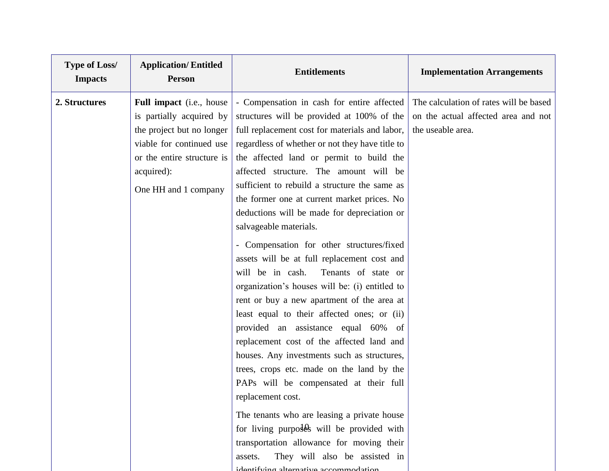| <b>Type of Loss/</b><br><b>Impacts</b> | <b>Application/Entitled</b><br><b>Person</b>                                                                                                                                      | <b>Entitlements</b>                                                                                                                                                                                                                                                                                                                                                                                                                                                                                                                                                                                                                                                                                                                                                                                                                                                                                                                                                                                                                                                                                                                                                                    | <b>Implementation Arrangements</b>                                                                 |
|----------------------------------------|-----------------------------------------------------------------------------------------------------------------------------------------------------------------------------------|----------------------------------------------------------------------------------------------------------------------------------------------------------------------------------------------------------------------------------------------------------------------------------------------------------------------------------------------------------------------------------------------------------------------------------------------------------------------------------------------------------------------------------------------------------------------------------------------------------------------------------------------------------------------------------------------------------------------------------------------------------------------------------------------------------------------------------------------------------------------------------------------------------------------------------------------------------------------------------------------------------------------------------------------------------------------------------------------------------------------------------------------------------------------------------------|----------------------------------------------------------------------------------------------------|
| 2. Structures                          | Full impact (i.e., house<br>is partially acquired by<br>the project but no longer<br>viable for continued use<br>or the entire structure is<br>acquired):<br>One HH and 1 company | - Compensation in cash for entire affected<br>structures will be provided at 100% of the<br>full replacement cost for materials and labor,<br>regardless of whether or not they have title to<br>the affected land or permit to build the<br>affected structure. The amount will be<br>sufficient to rebuild a structure the same as<br>the former one at current market prices. No<br>deductions will be made for depreciation or<br>salvageable materials.<br>- Compensation for other structures/fixed<br>assets will be at full replacement cost and<br>will be in cash.<br>Tenants of state or<br>organization's houses will be: (i) entitled to<br>rent or buy a new apartment of the area at<br>least equal to their affected ones; or (ii)<br>provided an assistance equal 60% of<br>replacement cost of the affected land and<br>houses. Any investments such as structures,<br>trees, crops etc. made on the land by the<br>PAPs will be compensated at their full<br>replacement cost.<br>The tenants who are leasing a private house<br>for living purposes will be provided with<br>transportation allowance for moving their<br>They will also be assisted in<br>assets. | The calculation of rates will be based<br>on the actual affected area and not<br>the useable area. |
|                                        |                                                                                                                                                                                   | idontifying oltamative essemmadatio                                                                                                                                                                                                                                                                                                                                                                                                                                                                                                                                                                                                                                                                                                                                                                                                                                                                                                                                                                                                                                                                                                                                                    |                                                                                                    |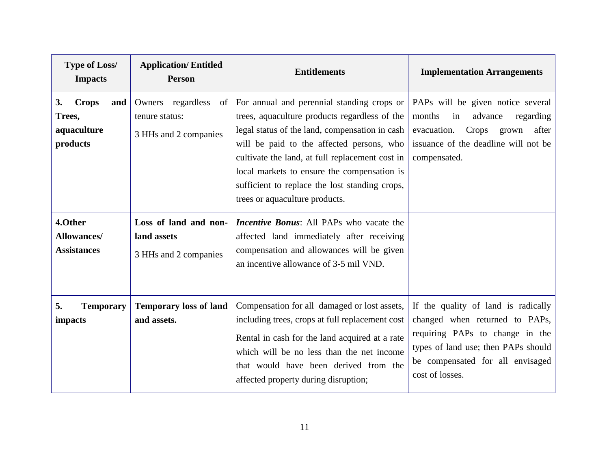| <b>Type of Loss/</b><br><b>Impacts</b>                                                                                | <b>Application/Entitled</b><br><b>Person</b>                                                         | <b>Entitlements</b>                                                                                                                                                                                                                                                                                                                                                                                                                                                                                                                                                                                                                                  | <b>Implementation Arrangements</b>                                                                                                                                                                     |
|-----------------------------------------------------------------------------------------------------------------------|------------------------------------------------------------------------------------------------------|------------------------------------------------------------------------------------------------------------------------------------------------------------------------------------------------------------------------------------------------------------------------------------------------------------------------------------------------------------------------------------------------------------------------------------------------------------------------------------------------------------------------------------------------------------------------------------------------------------------------------------------------------|--------------------------------------------------------------------------------------------------------------------------------------------------------------------------------------------------------|
| 3.<br><b>Crops</b><br>and<br>Trees,<br>aquaculture<br>products<br>4.Other<br><b>Allowances/</b><br><b>Assistances</b> | Owners regardless<br>tenure status:<br>3 HHs and 2 companies<br>Loss of land and non-<br>land assets | For annual and perennial standing crops or<br>PAPs will be given notice several<br>$\left  \right $<br>trees, aquaculture products regardless of the<br>months<br>advance<br>in<br>legal status of the land, compensation in cash<br>evacuation.<br>Crops<br>issuance of the deadline will not be<br>will be paid to the affected persons, who<br>cultivate the land, at full replacement cost in<br>compensated.<br>local markets to ensure the compensation is<br>sufficient to replace the lost standing crops,<br>trees or aquaculture products.<br><i>Incentive Bonus:</i> All PAPs who vacate the<br>affected land immediately after receiving |                                                                                                                                                                                                        |
|                                                                                                                       | 3 HHs and 2 companies                                                                                | compensation and allowances will be given<br>an incentive allowance of 3-5 mil VND.                                                                                                                                                                                                                                                                                                                                                                                                                                                                                                                                                                  |                                                                                                                                                                                                        |
| 5.<br><b>Temporary</b><br>impacts                                                                                     | <b>Temporary loss of land</b><br>and assets.                                                         | Compensation for all damaged or lost assets,<br>including trees, crops at full replacement cost<br>Rental in cash for the land acquired at a rate<br>which will be no less than the net income<br>that would have been derived from the<br>affected property during disruption;                                                                                                                                                                                                                                                                                                                                                                      | If the quality of land is radically<br>changed when returned to PAPs,<br>requiring PAPs to change in the<br>types of land use; then PAPs should<br>be compensated for all envisaged<br>cost of losses. |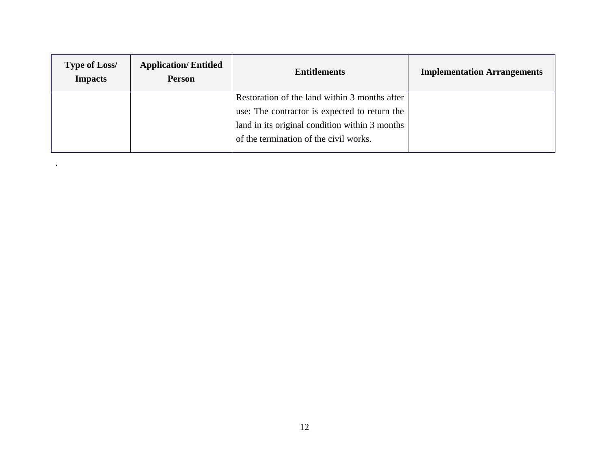| <b>Type of Loss/</b><br><b>Impacts</b> | <b>Application/Entitled</b><br><b>Person</b> | <b>Entitlements</b>                            | <b>Implementation Arrangements</b> |
|----------------------------------------|----------------------------------------------|------------------------------------------------|------------------------------------|
|                                        |                                              | Restoration of the land within 3 months after  |                                    |
|                                        |                                              | use: The contractor is expected to return the  |                                    |
|                                        |                                              | land in its original condition within 3 months |                                    |
|                                        |                                              | of the termination of the civil works.         |                                    |

.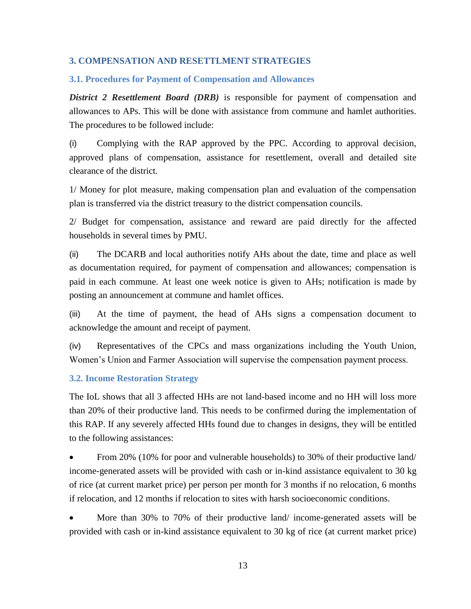#### <span id="page-21-0"></span>**3. COMPENSATION AND RESETTLMENT STRATEGIES**

#### <span id="page-21-1"></span>**3.1. Procedures for Payment of Compensation and Allowances**

*District 2 Resettlement Board (DRB)* is responsible for payment of compensation and allowances to APs. This will be done with assistance from commune and hamlet authorities. The procedures to be followed include:

(i) Complying with the RAP approved by the PPC. According to approval decision, approved plans of compensation, assistance for resettlement, overall and detailed site clearance of the district.

1/ Money for plot measure, making compensation plan and evaluation of the compensation plan is transferred via the district treasury to the district compensation councils.

2/ Budget for compensation, assistance and reward are paid directly for the affected households in several times by PMU.

(ii) The DCARB and local authorities notify AHs about the date, time and place as well as documentation required, for payment of compensation and allowances; compensation is paid in each commune. At least one week notice is given to AHs; notification is made by posting an announcement at commune and hamlet offices.

(iii) At the time of payment, the head of AHs signs a compensation document to acknowledge the amount and receipt of payment.

(iv) Representatives of the CPCs and mass organizations including the Youth Union, Women's Union and Farmer Association will supervise the compensation payment process.

#### <span id="page-21-2"></span>**3.2. Income Restoration Strategy**

The IoL shows that all 3 affected HHs are not land-based income and no HH will loss more than 20% of their productive land. This needs to be confirmed during the implementation of this RAP. If any severely affected HHs found due to changes in designs, they will be entitled to the following assistances:

 From 20% (10% for poor and vulnerable households) to 30% of their productive land/ income-generated assets will be provided with cash or in-kind assistance equivalent to 30 kg of rice (at current market price) per person per month for 3 months if no relocation, 6 months if relocation, and 12 months if relocation to sites with harsh socioeconomic conditions.

 More than 30% to 70% of their productive land/ income-generated assets will be provided with cash or in-kind assistance equivalent to 30 kg of rice (at current market price)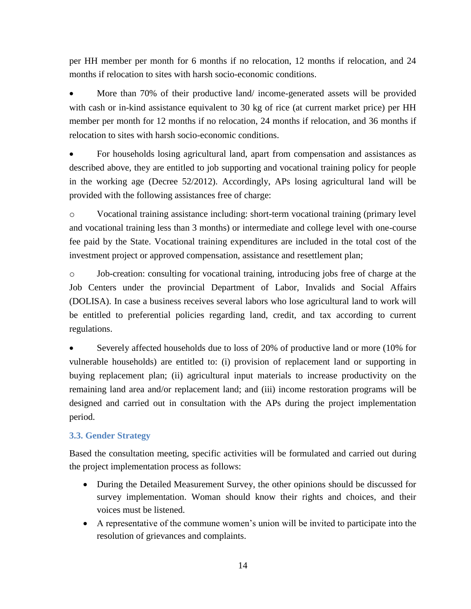per HH member per month for 6 months if no relocation, 12 months if relocation, and 24 months if relocation to sites with harsh socio-economic conditions.

 More than 70% of their productive land/ income-generated assets will be provided with cash or in-kind assistance equivalent to 30 kg of rice (at current market price) per HH member per month for 12 months if no relocation, 24 months if relocation, and 36 months if relocation to sites with harsh socio-economic conditions.

 For households losing agricultural land, apart from compensation and assistances as described above, they are entitled to job supporting and vocational training policy for people in the working age (Decree 52/2012). Accordingly, APs losing agricultural land will be provided with the following assistances free of charge:

o Vocational training assistance including: short-term vocational training (primary level and vocational training less than 3 months) or intermediate and college level with one-course fee paid by the State. Vocational training expenditures are included in the total cost of the investment project or approved compensation, assistance and resettlement plan;

o Job-creation: consulting for vocational training, introducing jobs free of charge at the Job Centers under the provincial Department of Labor, Invalids and Social Affairs (DOLISA). In case a business receives several labors who lose agricultural land to work will be entitled to preferential policies regarding land, credit, and tax according to current regulations.

 Severely affected households due to loss of 20% of productive land or more (10% for vulnerable households) are entitled to: (i) provision of replacement land or supporting in buying replacement plan; (ii) agricultural input materials to increase productivity on the remaining land area and/or replacement land; and (iii) income restoration programs will be designed and carried out in consultation with the APs during the project implementation period.

#### <span id="page-22-0"></span>**3.3. Gender Strategy**

Based the consultation meeting, specific activities will be formulated and carried out during the project implementation process as follows:

- During the Detailed Measurement Survey, the other opinions should be discussed for survey implementation. Woman should know their rights and choices, and their voices must be listened.
- A representative of the commune women's union will be invited to participate into the resolution of grievances and complaints.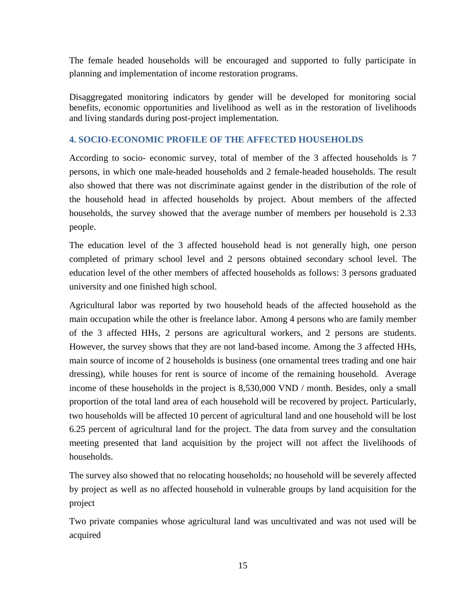The female headed households will be encouraged and supported to fully participate in planning and implementation of income restoration programs.

Disaggregated monitoring indicators by gender will be developed for monitoring social benefits, economic opportunities and livelihood as well as in the restoration of livelihoods and living standards during post-project implementation.

#### <span id="page-23-0"></span>**4. SOCIO-ECONOMIC PROFILE OF THE AFFECTED HOUSEHOLDS**

According to socio- economic survey, total of member of the 3 affected households is 7 persons, in which one male-headed households and 2 female-headed households. The result also showed that there was not discriminate against gender in the distribution of the role of the household head in affected households by project. About members of the affected households, the survey showed that the average number of members per household is 2.33 people.

The education level of the 3 affected household head is not generally high, one person completed of primary school level and 2 persons obtained secondary school level. The education level of the other members of affected households as follows: 3 persons graduated university and one finished high school.

Agricultural labor was reported by two household heads of the affected household as the main occupation while the other is freelance labor. Among 4 persons who are family member of the 3 affected HHs, 2 persons are agricultural workers, and 2 persons are students. However, the survey shows that they are not land-based income. Among the 3 affected HHs, main source of income of 2 households is business (one ornamental trees trading and one hair dressing), while houses for rent is source of income of the remaining household. Average income of these households in the project is 8,530,000 VND / month. Besides, only a small proportion of the total land area of each household will be recovered by project. Particularly, two households will be affected 10 percent of agricultural land and one household will be lost 6.25 percent of agricultural land for the project. The data from survey and the consultation meeting presented that land acquisition by the project will not affect the livelihoods of households.

The survey also showed that no relocating households; no household will be severely affected by project as well as no affected household in vulnerable groups by land acquisition for the project

Two private companies whose agricultural land was uncultivated and was not used will be acquired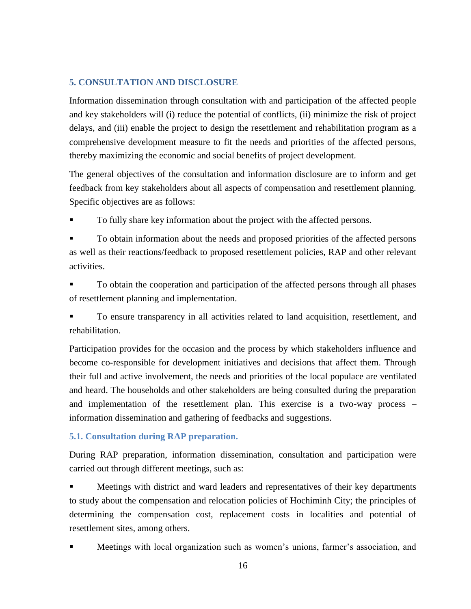#### <span id="page-24-0"></span>**5. CONSULTATION AND DISCLOSURE**

Information dissemination through consultation with and participation of the affected people and key stakeholders will (i) reduce the potential of conflicts, (ii) minimize the risk of project delays, and (iii) enable the project to design the resettlement and rehabilitation program as a comprehensive development measure to fit the needs and priorities of the affected persons, thereby maximizing the economic and social benefits of project development.

The general objectives of the consultation and information disclosure are to inform and get feedback from key stakeholders about all aspects of compensation and resettlement planning. Specific objectives are as follows:

To fully share key information about the project with the affected persons.

 To obtain information about the needs and proposed priorities of the affected persons as well as their reactions/feedback to proposed resettlement policies, RAP and other relevant activities.

 To obtain the cooperation and participation of the affected persons through all phases of resettlement planning and implementation.

 To ensure transparency in all activities related to land acquisition, resettlement, and rehabilitation.

Participation provides for the occasion and the process by which stakeholders influence and become co-responsible for development initiatives and decisions that affect them. Through their full and active involvement, the needs and priorities of the local populace are ventilated and heard. The households and other stakeholders are being consulted during the preparation and implementation of the resettlement plan. This exercise is a two-way process – information dissemination and gathering of feedbacks and suggestions.

#### <span id="page-24-1"></span>**5.1. Consultation during RAP preparation.**

During RAP preparation, information dissemination, consultation and participation were carried out through different meetings, such as:

 Meetings with district and ward leaders and representatives of their key departments to study about the compensation and relocation policies of Hochiminh City; the principles of determining the compensation cost, replacement costs in localities and potential of resettlement sites, among others.

Meetings with local organization such as women's unions, farmer's association, and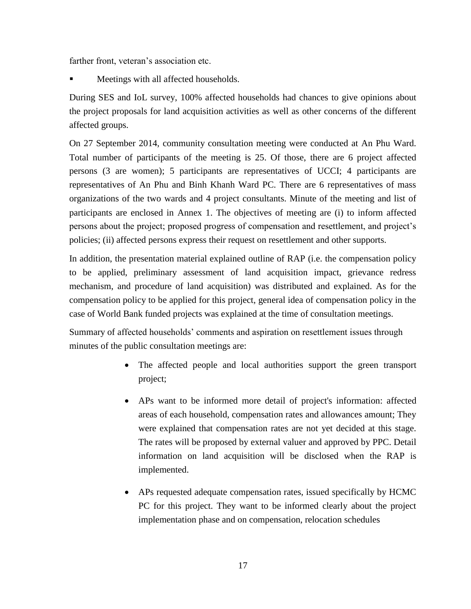farther front, veteran's association etc.

Meetings with all affected households.

During SES and IoL survey, 100% affected households had chances to give opinions about the project proposals for land acquisition activities as well as other concerns of the different affected groups.

On 27 September 2014, community consultation meeting were conducted at An Phu Ward. Total number of participants of the meeting is 25. Of those, there are 6 project affected persons (3 are women); 5 participants are representatives of UCCI; 4 participants are representatives of An Phu and Binh Khanh Ward PC. There are 6 representatives of mass organizations of the two wards and 4 project consultants. Minute of the meeting and list of participants are enclosed in Annex 1. The objectives of meeting are (i) to inform affected persons about the project; proposed progress of compensation and resettlement, and project's policies; (ii) affected persons express their request on resettlement and other supports.

In addition, the presentation material explained outline of RAP (i.e. the compensation policy to be applied, preliminary assessment of land acquisition impact, grievance redress mechanism, and procedure of land acquisition) was distributed and explained. As for the compensation policy to be applied for this project, general idea of compensation policy in the case of World Bank funded projects was explained at the time of consultation meetings.

Summary of affected households' comments and aspiration on resettlement issues through minutes of the public consultation meetings are:

- The affected people and local authorities support the green transport project;
- APs want to be informed more detail of project's information: affected areas of each household, compensation rates and allowances amount; They were explained that compensation rates are not yet decided at this stage. The rates will be proposed by external valuer and approved by PPC. Detail information on land acquisition will be disclosed when the RAP is implemented.
- APs requested adequate compensation rates, issued specifically by HCMC PC for this project. They want to be informed clearly about the project implementation phase and on compensation, relocation schedules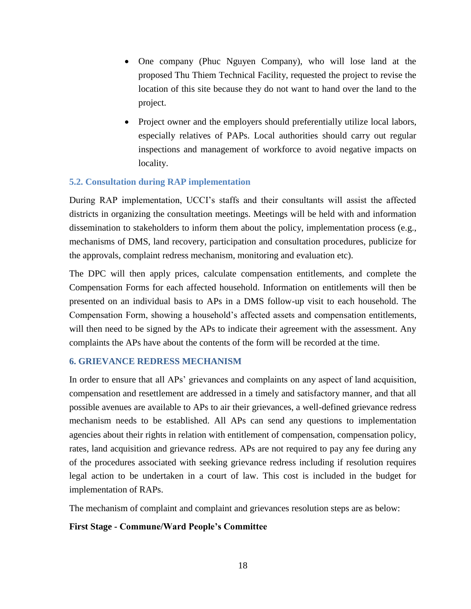- One company (Phuc Nguyen Company), who will lose land at the proposed Thu Thiem Technical Facility, requested the project to revise the location of this site because they do not want to hand over the land to the project.
- Project owner and the employers should preferentially utilize local labors, especially relatives of PAPs. Local authorities should carry out regular inspections and management of workforce to avoid negative impacts on locality.

#### <span id="page-26-0"></span>**5.2. Consultation during RAP implementation**

During RAP implementation, UCCI's staffs and their consultants will assist the affected districts in organizing the consultation meetings. Meetings will be held with and information dissemination to stakeholders to inform them about the policy, implementation process (e.g., mechanisms of DMS, land recovery, participation and consultation procedures, publicize for the approvals, complaint redress mechanism, monitoring and evaluation etc).

The DPC will then apply prices, calculate compensation entitlements, and complete the Compensation Forms for each affected household. Information on entitlements will then be presented on an individual basis to APs in a DMS follow-up visit to each household. The Compensation Form, showing a household's affected assets and compensation entitlements, will then need to be signed by the APs to indicate their agreement with the assessment. Any complaints the APs have about the contents of the form will be recorded at the time.

#### <span id="page-26-1"></span>**6. GRIEVANCE REDRESS MECHANISM**

In order to ensure that all APs' grievances and complaints on any aspect of land acquisition, compensation and resettlement are addressed in a timely and satisfactory manner, and that all possible avenues are available to APs to air their grievances, a well-defined grievance redress mechanism needs to be established. All APs can send any questions to implementation agencies about their rights in relation with entitlement of compensation, compensation policy, rates, land acquisition and grievance redress. APs are not required to pay any fee during any of the procedures associated with seeking grievance redress including if resolution requires legal action to be undertaken in a court of law. This cost is included in the budget for implementation of RAPs.

The mechanism of complaint and complaint and grievances resolution steps are as below:

#### **First Stage - Commune/Ward People's Committee**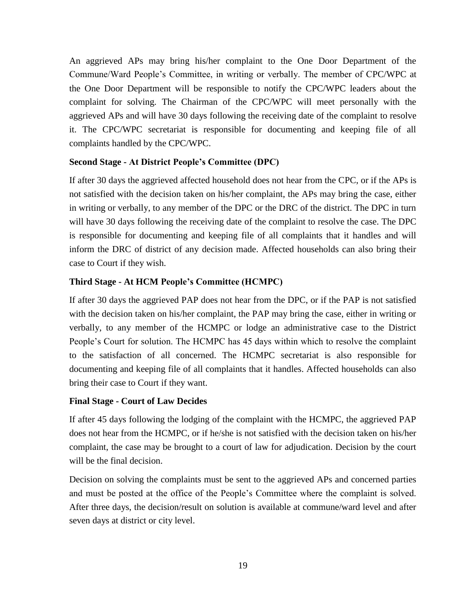An aggrieved APs may bring his/her complaint to the One Door Department of the Commune/Ward People's Committee, in writing or verbally. The member of CPC/WPC at the One Door Department will be responsible to notify the CPC/WPC leaders about the complaint for solving. The Chairman of the CPC/WPC will meet personally with the aggrieved APs and will have 30 days following the receiving date of the complaint to resolve it. The CPC/WPC secretariat is responsible for documenting and keeping file of all complaints handled by the CPC/WPC.

#### **Second Stage - At District People's Committee (DPC)**

If after 30 days the aggrieved affected household does not hear from the CPC, or if the APs is not satisfied with the decision taken on his/her complaint, the APs may bring the case, either in writing or verbally, to any member of the DPC or the DRC of the district. The DPC in turn will have 30 days following the receiving date of the complaint to resolve the case. The DPC is responsible for documenting and keeping file of all complaints that it handles and will inform the DRC of district of any decision made. Affected households can also bring their case to Court if they wish.

#### **Third Stage - At HCM People's Committee (HCMPC)**

If after 30 days the aggrieved PAP does not hear from the DPC, or if the PAP is not satisfied with the decision taken on his/her complaint, the PAP may bring the case, either in writing or verbally, to any member of the HCMPC or lodge an administrative case to the District People's Court for solution. The HCMPC has 45 days within which to resolve the complaint to the satisfaction of all concerned. The HCMPC secretariat is also responsible for documenting and keeping file of all complaints that it handles. Affected households can also bring their case to Court if they want.

#### **Final Stage - Court of Law Decides**

If after 45 days following the lodging of the complaint with the HCMPC, the aggrieved PAP does not hear from the HCMPC, or if he/she is not satisfied with the decision taken on his/her complaint, the case may be brought to a court of law for adjudication. Decision by the court will be the final decision.

Decision on solving the complaints must be sent to the aggrieved APs and concerned parties and must be posted at the office of the People's Committee where the complaint is solved. After three days, the decision/result on solution is available at commune/ward level and after seven days at district or city level.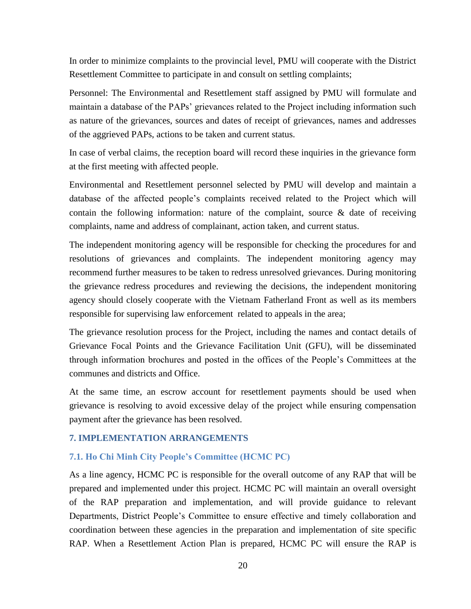In order to minimize complaints to the provincial level, PMU will cooperate with the District Resettlement Committee to participate in and consult on settling complaints;

Personnel: The Environmental and Resettlement staff assigned by PMU will formulate and maintain a database of the PAPs' grievances related to the Project including information such as nature of the grievances, sources and dates of receipt of grievances, names and addresses of the aggrieved PAPs, actions to be taken and current status.

In case of verbal claims, the reception board will record these inquiries in the grievance form at the first meeting with affected people.

Environmental and Resettlement personnel selected by PMU will develop and maintain a database of the affected people's complaints received related to the Project which will contain the following information: nature of the complaint, source & date of receiving complaints, name and address of complainant, action taken, and current status.

The independent monitoring agency will be responsible for checking the procedures for and resolutions of grievances and complaints. The independent monitoring agency may recommend further measures to be taken to redress unresolved grievances. During monitoring the grievance redress procedures and reviewing the decisions, the independent monitoring agency should closely cooperate with the Vietnam Fatherland Front as well as its members responsible for supervising law enforcement related to appeals in the area;

The grievance resolution process for the Project, including the names and contact details of Grievance Focal Points and the Grievance Facilitation Unit (GFU), will be disseminated through information brochures and posted in the offices of the People's Committees at the communes and districts and Office.

At the same time, an escrow account for resettlement payments should be used when grievance is resolving to avoid excessive delay of the project while ensuring compensation payment after the grievance has been resolved.

#### <span id="page-28-0"></span>**7. IMPLEMENTATION ARRANGEMENTS**

#### <span id="page-28-1"></span>**7.1. Ho Chi Minh City People's Committee (HCMC PC)**

As a line agency, HCMC PC is responsible for the overall outcome of any RAP that will be prepared and implemented under this project. HCMC PC will maintain an overall oversight of the RAP preparation and implementation, and will provide guidance to relevant Departments, District People's Committee to ensure effective and timely collaboration and coordination between these agencies in the preparation and implementation of site specific RAP. When a Resettlement Action Plan is prepared, HCMC PC will ensure the RAP is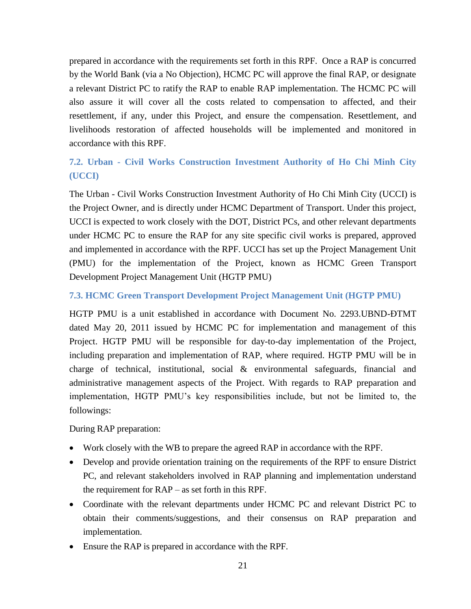prepared in accordance with the requirements set forth in this RPF. Once a RAP is concurred by the World Bank (via a No Objection), HCMC PC will approve the final RAP, or designate a relevant District PC to ratify the RAP to enable RAP implementation. The HCMC PC will also assure it will cover all the costs related to compensation to affected, and their resettlement, if any, under this Project, and ensure the compensation. Resettlement, and livelihoods restoration of affected households will be implemented and monitored in accordance with this RPF.

### <span id="page-29-0"></span>**7.2. Urban - Civil Works Construction Investment Authority of Ho Chi Minh City (UCCI)**

The Urban - Civil Works Construction Investment Authority of Ho Chi Minh City (UCCI) is the Project Owner, and is directly under HCMC Department of Transport. Under this project, UCCI is expected to work closely with the DOT, District PCs, and other relevant departments under HCMC PC to ensure the RAP for any site specific civil works is prepared, approved and implemented in accordance with the RPF. UCCI has set up the Project Management Unit (PMU) for the implementation of the Project, known as HCMC Green Transport Development Project Management Unit (HGTP PMU)

#### <span id="page-29-1"></span>**7.3. HCMC Green Transport Development Project Management Unit (HGTP PMU)**

HGTP PMU is a unit established in accordance with Document No. 2293.UBND-ĐTMT dated May 20, 2011 issued by HCMC PC for implementation and management of this Project. HGTP PMU will be responsible for day-to-day implementation of the Project, including preparation and implementation of RAP, where required. HGTP PMU will be in charge of technical, institutional, social & environmental safeguards, financial and administrative management aspects of the Project. With regards to RAP preparation and implementation, HGTP PMU's key responsibilities include, but not be limited to, the followings:

During RAP preparation:

- Work closely with the WB to prepare the agreed RAP in accordance with the RPF.
- Develop and provide orientation training on the requirements of the RPF to ensure District PC, and relevant stakeholders involved in RAP planning and implementation understand the requirement for RAP – as set forth in this RPF.
- Coordinate with the relevant departments under HCMC PC and relevant District PC to obtain their comments/suggestions, and their consensus on RAP preparation and implementation.
- Ensure the RAP is prepared in accordance with the RPF.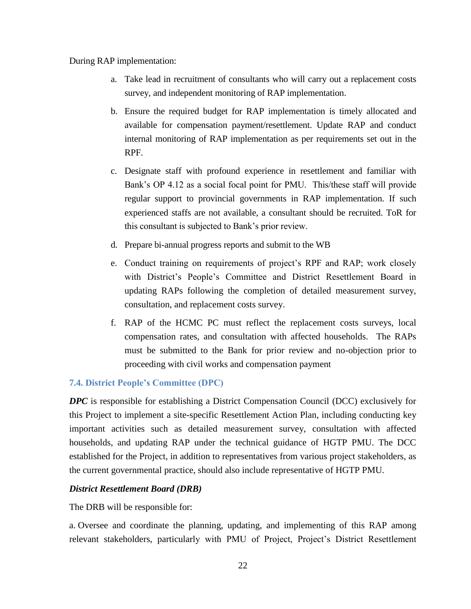#### During RAP implementation:

- a. Take lead in recruitment of consultants who will carry out a replacement costs survey, and independent monitoring of RAP implementation.
- b. Ensure the required budget for RAP implementation is timely allocated and available for compensation payment/resettlement. Update RAP and conduct internal monitoring of RAP implementation as per requirements set out in the RPF.
- c. Designate staff with profound experience in resettlement and familiar with Bank's OP 4.12 as a social focal point for PMU. This/these staff will provide regular support to provincial governments in RAP implementation. If such experienced staffs are not available, a consultant should be recruited. ToR for this consultant is subjected to Bank's prior review.
- d. Prepare bi-annual progress reports and submit to the WB
- e. Conduct training on requirements of project's RPF and RAP; work closely with District's People's Committee and District Resettlement Board in updating RAPs following the completion of detailed measurement survey, consultation, and replacement costs survey.
- f. RAP of the HCMC PC must reflect the replacement costs surveys, local compensation rates, and consultation with affected households. The RAPs must be submitted to the Bank for prior review and no-objection prior to proceeding with civil works and compensation payment

#### <span id="page-30-0"></span>**7.4. District People's Committee (DPC)**

*DPC* is responsible for establishing a District Compensation Council (DCC) exclusively for this Project to implement a site-specific Resettlement Action Plan, including conducting key important activities such as detailed measurement survey, consultation with affected households, and updating RAP under the technical guidance of HGTP PMU. The DCC established for the Project, in addition to representatives from various project stakeholders, as the current governmental practice, should also include representative of HGTP PMU.

#### *District Resettlement Board (DRB)*

The DRB will be responsible for:

a. Oversee and coordinate the planning, updating, and implementing of this RAP among relevant stakeholders, particularly with PMU of Project, Project's District Resettlement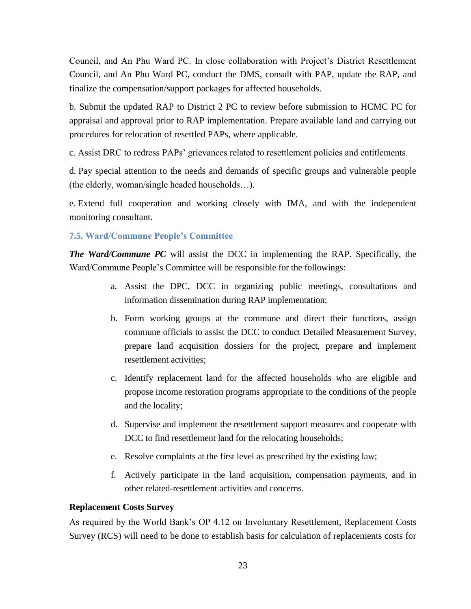Council, and An Phu Ward PC. In close collaboration with Project's District Resettlement Council, and An Phu Ward PC, conduct the DMS, consult with PAP, update the RAP, and finalize the compensation/support packages for affected households.

b. Submit the updated RAP to District 2 PC to review before submission to HCMC PC for appraisal and approval prior to RAP implementation. Prepare available land and carrying out procedures for relocation of resettled PAPs, where applicable.

c. Assist DRC to redress PAPs' grievances related to resettlement policies and entitlements.

d. Pay special attention to the needs and demands of specific groups and vulnerable people (the elderly, woman/single headed households…).

e. Extend full cooperation and working closely with IMA, and with the independent monitoring consultant.

#### <span id="page-31-0"></span>**7.5. Ward/Commune People's Committee**

*The Ward/Commune PC* will assist the DCC in implementing the RAP. Specifically, the Ward/Commune People's Committee will be responsible for the followings:

- a. Assist the DPC, DCC in organizing public meetings, consultations and information dissemination during RAP implementation;
- b. Form working groups at the commune and direct their functions, assign commune officials to assist the DCC to conduct Detailed Measurement Survey, prepare land acquisition dossiers for the project, prepare and implement resettlement activities;
- c. Identify replacement land for the affected households who are eligible and propose income restoration programs appropriate to the conditions of the people and the locality;
- d. Supervise and implement the resettlement support measures and cooperate with DCC to find resettlement land for the relocating households;
- e. Resolve complaints at the first level as prescribed by the existing law;
- f. Actively participate in the land acquisition, compensation payments, and in other related-resettlement activities and concerns.

#### **Replacement Costs Survey**

As required by the World Bank's OP 4.12 on Involuntary Resettlement, Replacement Costs Survey (RCS) will need to be done to establish basis for calculation of replacements costs for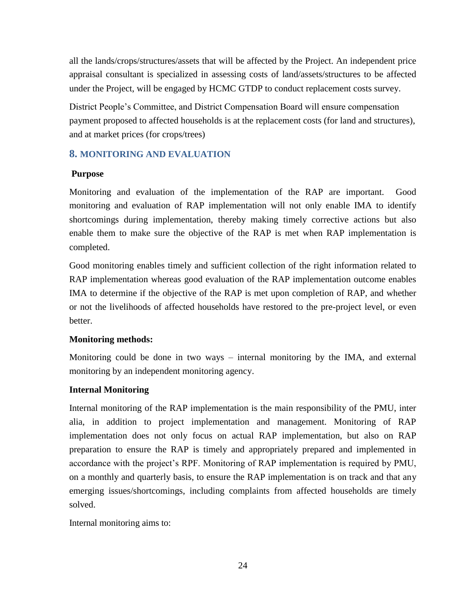all the lands/crops/structures/assets that will be affected by the Project. An independent price appraisal consultant is specialized in assessing costs of land/assets/structures to be affected under the Project, will be engaged by HCMC GTDP to conduct replacement costs survey.

District People's Committee, and District Compensation Board will ensure compensation payment proposed to affected households is at the replacement costs (for land and structures), and at market prices (for crops/trees)

#### <span id="page-32-0"></span>**8. MONITORING AND EVALUATION**

#### **Purpose**

Monitoring and evaluation of the implementation of the RAP are important. Good monitoring and evaluation of RAP implementation will not only enable IMA to identify shortcomings during implementation, thereby making timely corrective actions but also enable them to make sure the objective of the RAP is met when RAP implementation is completed.

Good monitoring enables timely and sufficient collection of the right information related to RAP implementation whereas good evaluation of the RAP implementation outcome enables IMA to determine if the objective of the RAP is met upon completion of RAP, and whether or not the livelihoods of affected households have restored to the pre-project level, or even better.

#### **Monitoring methods:**

Monitoring could be done in two ways – internal monitoring by the IMA, and external monitoring by an independent monitoring agency.

#### **Internal Monitoring**

Internal monitoring of the RAP implementation is the main responsibility of the PMU, inter alia, in addition to project implementation and management. Monitoring of RAP implementation does not only focus on actual RAP implementation, but also on RAP preparation to ensure the RAP is timely and appropriately prepared and implemented in accordance with the project's RPF. Monitoring of RAP implementation is required by PMU, on a monthly and quarterly basis, to ensure the RAP implementation is on track and that any emerging issues/shortcomings, including complaints from affected households are timely solved.

Internal monitoring aims to: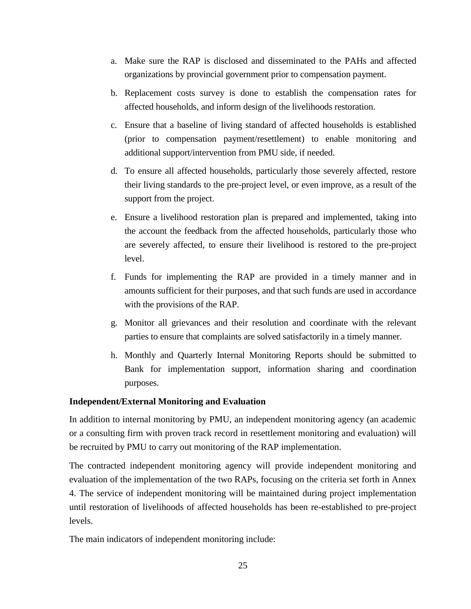- a. Make sure the RAP is disclosed and disseminated to the PAHs and affected organizations by provincial government prior to compensation payment.
- b. Replacement costs survey is done to establish the compensation rates for affected households, and inform design of the livelihoods restoration.
- c. Ensure that a baseline of living standard of affected households is established (prior to compensation payment/resettlement) to enable monitoring and additional support/intervention from PMU side, if needed.
- d. To ensure all affected households, particularly those severely affected, restore their living standards to the pre-project level, or even improve, as a result of the support from the project.
- e. Ensure a livelihood restoration plan is prepared and implemented, taking into the account the feedback from the affected households, particularly those who are severely affected, to ensure their livelihood is restored to the pre-project level.
- f. Funds for implementing the RAP are provided in a timely manner and in amounts sufficient for their purposes, and that such funds are used in accordance with the provisions of the RAP.
- g. Monitor all grievances and their resolution and coordinate with the relevant parties to ensure that complaints are solved satisfactorily in a timely manner.
- h. Monthly and Quarterly Internal Monitoring Reports should be submitted to Bank for implementation support, information sharing and coordination purposes.

#### **Independent/External Monitoring and Evaluation**

In addition to internal monitoring by PMU, an independent monitoring agency (an academic or a consulting firm with proven track record in resettlement monitoring and evaluation) will be recruited by PMU to carry out monitoring of the RAP implementation.

The contracted independent monitoring agency will provide independent monitoring and evaluation of the implementation of the two RAPs, focusing on the criteria set forth in Annex 4. The service of independent monitoring will be maintained during project implementation until restoration of livelihoods of affected households has been re-established to pre-project levels.

The main indicators of independent monitoring include: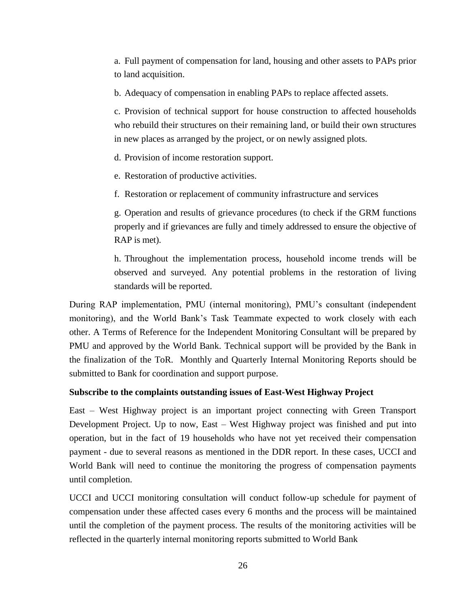a. Full payment of compensation for land, housing and other assets to PAPs prior to land acquisition.

b. Adequacy of compensation in enabling PAPs to replace affected assets.

c. Provision of technical support for house construction to affected households who rebuild their structures on their remaining land, or build their own structures in new places as arranged by the project, or on newly assigned plots.

d. Provision of income restoration support.

e. Restoration of productive activities.

f. Restoration or replacement of community infrastructure and services

g. Operation and results of grievance procedures (to check if the GRM functions properly and if grievances are fully and timely addressed to ensure the objective of RAP is met).

h. Throughout the implementation process, household income trends will be observed and surveyed. Any potential problems in the restoration of living standards will be reported.

During RAP implementation, PMU (internal monitoring), PMU's consultant (independent monitoring), and the World Bank's Task Teammate expected to work closely with each other. A Terms of Reference for the Independent Monitoring Consultant will be prepared by PMU and approved by the World Bank. Technical support will be provided by the Bank in the finalization of the ToR. Monthly and Quarterly Internal Monitoring Reports should be submitted to Bank for coordination and support purpose.

#### **Subscribe to the complaints outstanding issues of East-West Highway Project**

East – West Highway project is an important project connecting with Green Transport Development Project. Up to now, East – West Highway project was finished and put into operation, but in the fact of 19 households who have not yet received their compensation payment - due to several reasons as mentioned in the DDR report. In these cases, UCCI and World Bank will need to continue the monitoring the progress of compensation payments until completion.

UCCI and UCCI monitoring consultation will conduct follow-up schedule for payment of compensation under these affected cases every 6 months and the process will be maintained until the completion of the payment process. The results of the monitoring activities will be reflected in the quarterly internal monitoring reports submitted to World Bank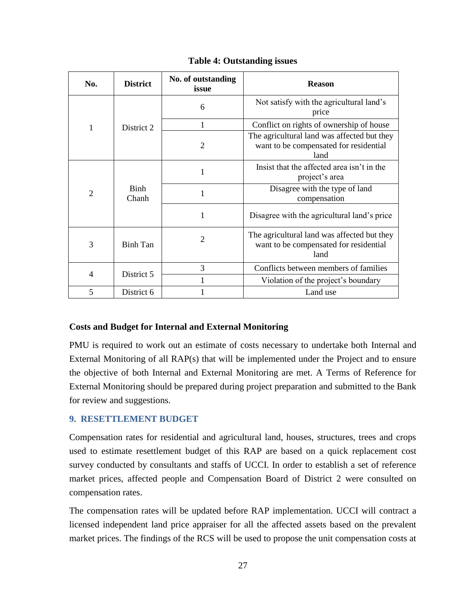<span id="page-35-1"></span>

| No.            | <b>District</b> | No. of outstanding<br>issue | <b>Reason</b>                                                                                 |
|----------------|-----------------|-----------------------------|-----------------------------------------------------------------------------------------------|
|                |                 | 6                           | Not satisfy with the agricultural land's<br>price                                             |
| 1              | District 2      | 1                           | Conflict on rights of ownership of house                                                      |
|                |                 | $\overline{2}$              | The agricultural land was affected but they<br>want to be compensated for residential<br>land |
|                | Binh<br>Chanh   | 1                           | Insist that the affected area isn't in the<br>project's area                                  |
| $\overline{2}$ |                 | 1                           | Disagree with the type of land<br>compensation                                                |
|                |                 | 1                           | Disagree with the agricultural land's price                                                   |
| 3              | <b>Binh Tan</b> | $\overline{2}$              | The agricultural land was affected but they<br>want to be compensated for residential<br>land |
|                |                 | 3                           | Conflicts between members of families                                                         |
| $\overline{4}$ | District 5      |                             | Violation of the project's boundary                                                           |
| 5              | District 6      |                             | Land use                                                                                      |

**Table 4: Outstanding issues**

#### **Costs and Budget for Internal and External Monitoring**

PMU is required to work out an estimate of costs necessary to undertake both Internal and External Monitoring of all RAP(s) that will be implemented under the Project and to ensure the objective of both Internal and External Monitoring are met. A Terms of Reference for External Monitoring should be prepared during project preparation and submitted to the Bank for review and suggestions.

#### <span id="page-35-0"></span>**9. RESETTLEMENT BUDGET**

Compensation rates for residential and agricultural land, houses, structures, trees and crops used to estimate resettlement budget of this RAP are based on a quick replacement cost survey conducted by consultants and staffs of UCCI. In order to establish a set of reference market prices, affected people and Compensation Board of District 2 were consulted on compensation rates.

The compensation rates will be updated before RAP implementation. UCCI will contract a licensed independent land price appraiser for all the affected assets based on the prevalent market prices. The findings of the RCS will be used to propose the unit compensation costs at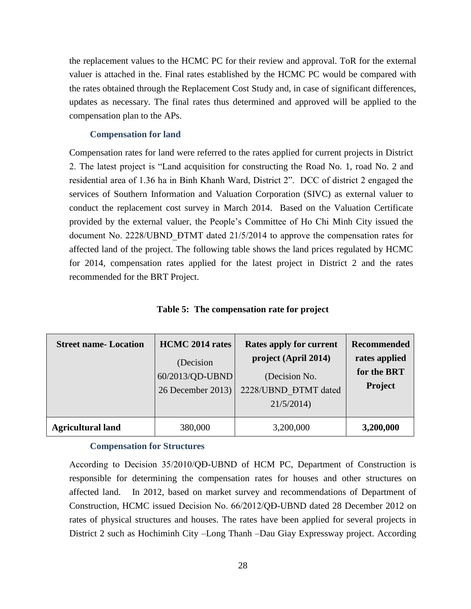the replacement values to the HCMC PC for their review and approval. ToR for the external valuer is attached in the. Final rates established by the HCMC PC would be compared with the rates obtained through the Replacement Cost Study and, in case of significant differences, updates as necessary. The final rates thus determined and approved will be applied to the compensation plan to the APs.

#### **Compensation for land**

Compensation rates for land were referred to the rates applied for current projects in District 2. The latest project is "Land acquisition for constructing the Road No. 1, road No. 2 and residential area of 1.36 ha in Binh Khanh Ward, District 2". DCC of district 2 engaged the services of Southern Information and Valuation Corporation (SIVC) as external valuer to conduct the replacement cost survey in March 2014. Based on the Valuation Certificate provided by the external valuer, the People's Committee of Ho Chi Minh City issued the document No. 2228/UBND\_ĐTMT dated 21/5/2014 to approve the compensation rates for affected land of the project. The following table shows the land prices regulated by HCMC for 2014, compensation rates applied for the latest project in District 2 and the rates recommended for the BRT Project.

**Table 5: The compensation rate for project**

<span id="page-36-0"></span>

| <b>Street name-Location</b> | <b>HCMC 2014 rates</b><br>(Decision)<br>60/2013/QD-UBND<br>26 December 2013) | Rates apply for current<br>project (April 2014)<br>(Decision No.<br>2228/UBND ĐTMT dated<br>21/5/2014 | <b>Recommended</b><br>rates applied<br>for the BRT<br>Project |
|-----------------------------|------------------------------------------------------------------------------|-------------------------------------------------------------------------------------------------------|---------------------------------------------------------------|
| <b>Agricultural land</b>    | 380,000                                                                      | 3,200,000                                                                                             | 3,200,000                                                     |

#### **Compensation for Structures**

According to Decision 35/2010/QĐ-UBND of HCM PC, Department of Construction is responsible for determining the compensation rates for houses and other structures on affected land. In 2012, based on market survey and recommendations of Department of Construction, HCMC issued Decision No. 66/2012/QĐ-UBND dated 28 December 2012 on rates of physical structures and houses. The rates have been applied for several projects in District 2 such as Hochiminh City –Long Thanh –Dau Giay Expressway project. According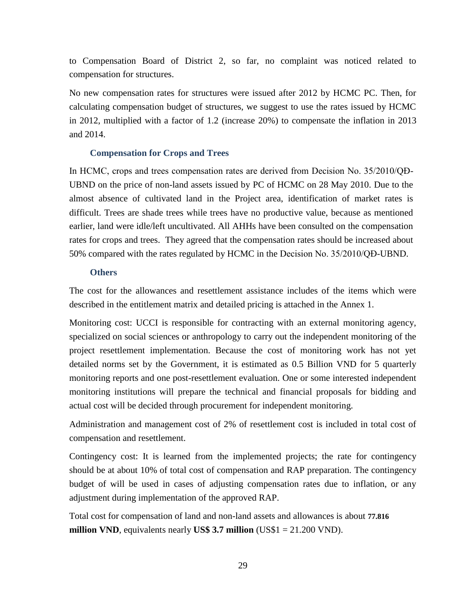to Compensation Board of District 2, so far, no complaint was noticed related to compensation for structures.

No new compensation rates for structures were issued after 2012 by HCMC PC. Then, for calculating compensation budget of structures, we suggest to use the rates issued by HCMC in 2012, multiplied with a factor of 1.2 (increase 20%) to compensate the inflation in 2013 and 2014.

#### **Compensation for Crops and Trees**

In HCMC, crops and trees compensation rates are derived from Decision No. 35/2010/QĐ-UBND on the price of non-land assets issued by PC of HCMC on 28 May 2010. Due to the almost absence of cultivated land in the Project area, identification of market rates is difficult. Trees are shade trees while trees have no productive value, because as mentioned earlier, land were idle/left uncultivated. All AHHs have been consulted on the compensation rates for crops and trees. They agreed that the compensation rates should be increased about 50% compared with the rates regulated by HCMC in the Decision No. 35/2010/QĐ-UBND.

#### **Others**

The cost for the allowances and resettlement assistance includes of the items which were described in the entitlement matrix and detailed pricing is attached in the Annex 1.

Monitoring cost: UCCI is responsible for contracting with an external monitoring agency, specialized on social sciences or anthropology to carry out the independent monitoring of the project resettlement implementation. Because the cost of monitoring work has not yet detailed norms set by the Government, it is estimated as 0.5 Billion VND for 5 quarterly monitoring reports and one post-resettlement evaluation. One or some interested independent monitoring institutions will prepare the technical and financial proposals for bidding and actual cost will be decided through procurement for independent monitoring.

Administration and management cost of 2% of resettlement cost is included in total cost of compensation and resettlement.

Contingency cost: It is learned from the implemented projects; the rate for contingency should be at about 10% of total cost of compensation and RAP preparation. The contingency budget of will be used in cases of adjusting compensation rates due to inflation, or any adjustment during implementation of the approved RAP.

<span id="page-37-0"></span>Total cost for compensation of land and non-land assets and allowances is about **77.816 million VND**, equivalents nearly **US\$ 3.7 million** (US\$1 = 21.200 VND).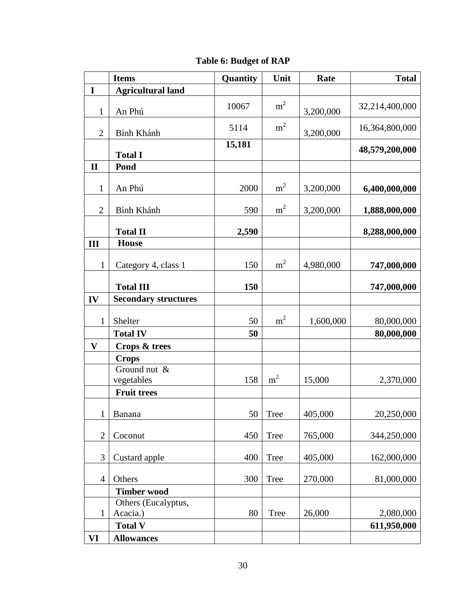**Table 6: Budget of RAP**

|                | <b>Items</b>                | Quantity | Unit           | Rate      | <b>Total</b>   |  |
|----------------|-----------------------------|----------|----------------|-----------|----------------|--|
| $\mathbf I$    | <b>Agricultural land</b>    |          |                |           |                |  |
| $\mathbf{1}$   | An Phú                      | 10067    | m <sup>2</sup> | 3,200,000 | 32,214,400,000 |  |
| $\overline{2}$ | Bình Khánh                  | 5114     | m <sup>2</sup> | 3,200,000 | 16,364,800,000 |  |
|                | <b>Total I</b>              | 15,181   |                |           | 48,579,200,000 |  |
| $\mathbf{I}$   | Pond                        |          |                |           |                |  |
|                |                             |          | m <sup>2</sup> |           |                |  |
| $\mathbf{1}$   | An Phú                      | 2000     |                | 3,200,000 | 6,400,000,000  |  |
| $\overline{2}$ | Bình Khánh                  | 590      | m <sup>2</sup> | 3,200,000 | 1,888,000,000  |  |
|                | <b>Total II</b>             | 2,590    |                |           | 8,288,000,000  |  |
| III            | <b>House</b>                |          |                |           |                |  |
| $\mathbf{1}$   | Category 4, class 1         | 150      | m <sup>2</sup> | 4,980,000 | 747,000,000    |  |
|                | <b>Total III</b>            | 150      |                |           | 747,000,000    |  |
| IV             | <b>Secondary structures</b> |          |                |           |                |  |
|                |                             |          |                |           |                |  |
| $\mathbf{1}$   | Shelter                     | 50       | m <sup>2</sup> | 1,600,000 | 80,000,000     |  |
|                | <b>Total IV</b>             | 50       |                |           | 80,000,000     |  |
| $\bf{V}$       | Crops & trees               |          |                |           |                |  |
|                | <b>Crops</b>                |          |                |           |                |  |
|                | Ground nut &                |          |                |           |                |  |
|                | vegetables                  | 158      | m <sup>2</sup> | 15,000    | 2,370,000      |  |
|                | <b>Fruit trees</b>          |          |                |           |                |  |
| $\mathbf{1}$   | Banana                      |          | $50$ Tree      | 405,000   | 20,250,000     |  |
| $\overline{2}$ | Coconut                     | 450      | <b>Tree</b>    | 765,000   | 344,250,000    |  |
| 3              | Custard apple               | 400      | Tree           | 405,000   | 162,000,000    |  |
|                |                             |          |                |           |                |  |
| $\overline{4}$ | Others                      | 300      | <b>Tree</b>    | 270,000   | 81,000,000     |  |
|                | <b>Timber wood</b>          |          |                |           |                |  |
|                | Others (Eucalyptus,         |          |                |           |                |  |
| $\mathbf{1}$   | Acacia.)                    | 80       | Tree           | 26,000    | 2,080,000      |  |
|                | <b>Total V</b>              |          |                |           | 611,950,000    |  |
| VI             | <b>Allowances</b>           |          |                |           |                |  |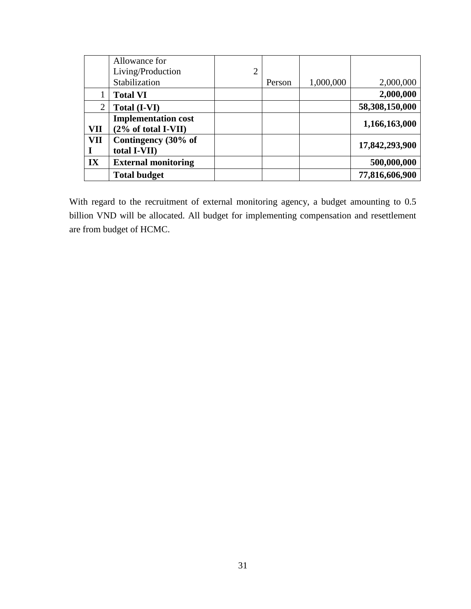|                | Allowance for                  |                |        |           |                |
|----------------|--------------------------------|----------------|--------|-----------|----------------|
|                | Living/Production              | $\overline{2}$ |        |           |                |
|                | Stabilization                  |                | Person | 1,000,000 | 2,000,000      |
|                | <b>Total VI</b>                |                |        |           | 2,000,000      |
| $\overline{2}$ | <b>Total (I-VI)</b>            |                |        |           | 58,308,150,000 |
|                | <b>Implementation cost</b>     |                |        |           | 1,166,163,000  |
| VII            | $(2\% \text{ of total I-VII})$ |                |        |           |                |
| VII            | Contingency (30% of            |                |        |           | 17,842,293,900 |
|                | total I-VII)                   |                |        |           |                |
| IX             | <b>External monitoring</b>     |                |        |           | 500,000,000    |
|                | <b>Total budget</b>            |                |        |           | 77,816,606,900 |

With regard to the recruitment of external monitoring agency, a budget amounting to 0.5 billion VND will be allocated. All budget for implementing compensation and resettlement are from budget of HCMC.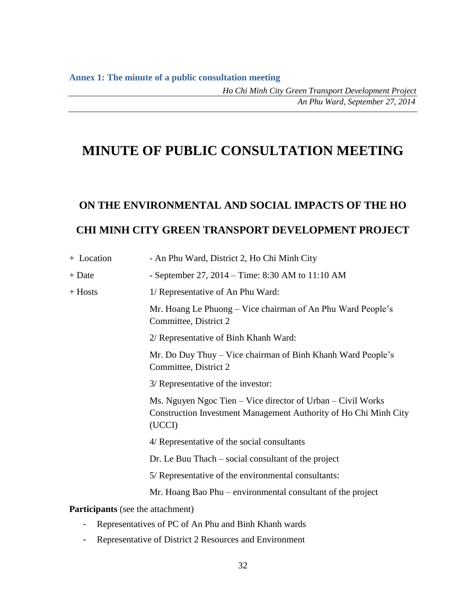# <span id="page-40-0"></span>**MINUTE OF PUBLIC CONSULTATION MEETING**

# **ON THE ENVIRONMENTAL AND SOCIAL IMPACTS OF THE HO CHI MINH CITY GREEN TRANSPORT DEVELOPMENT PROJECT**

| + Location                               | - An Phu Ward, District 2, Ho Chi Minh City                                                                                               |
|------------------------------------------|-------------------------------------------------------------------------------------------------------------------------------------------|
| $+$ Date                                 | - September 27, 2014 – Time: 8:30 AM to 11:10 AM                                                                                          |
| $+$ Hosts                                | 1/ Representative of An Phu Ward:                                                                                                         |
|                                          | Mr. Hoang Le Phuong - Vice chairman of An Phu Ward People's<br>Committee, District 2                                                      |
|                                          | 2/ Representative of Binh Khanh Ward:                                                                                                     |
|                                          | Mr. Do Duy Thuy – Vice chairman of Binh Khanh Ward People's<br>Committee, District 2                                                      |
|                                          | 3/ Representative of the investor:                                                                                                        |
|                                          | Ms. Nguyen Ngoc Tien – Vice director of Urban – Civil Works<br>Construction Investment Management Authority of Ho Chi Minh City<br>(UCCI) |
|                                          | 4/ Representative of the social consultants                                                                                               |
|                                          | Dr. Le Buu Thach – social consultant of the project                                                                                       |
|                                          | 5/ Representative of the environmental consultants:                                                                                       |
|                                          | Mr. Hoang Bao Phu – environmental consultant of the project                                                                               |
| <b>Participants</b> (see the attachment) |                                                                                                                                           |
|                                          |                                                                                                                                           |

- Representatives of PC of An Phu and Binh Khanh wards
- Representative of District 2 Resources and Environment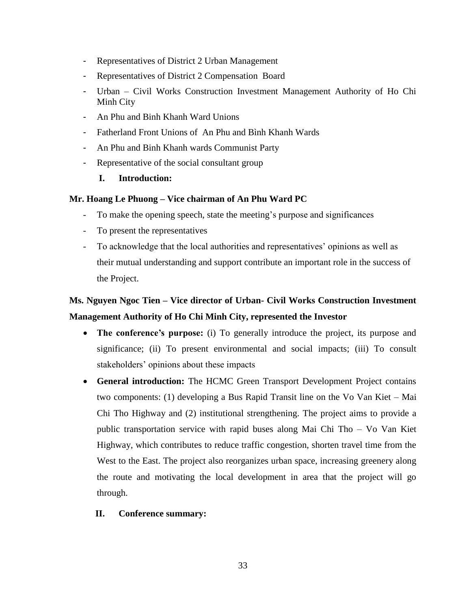- Representatives of District 2 Urban Management
- Representatives of District 2 Compensation Board
- Urban Civil Works Construction Investment Management Authority of Ho Chi Minh City
- An Phu and Binh Khanh Ward Unions
- Fatherland Front Unions of An Phu and Bình Khanh Wards
- An Phu and Binh Khanh wards Communist Party
- Representative of the social consultant group
	- **I. Introduction:**

#### **Mr. Hoang Le Phuong – Vice chairman of An Phu Ward PC**

- To make the opening speech, state the meeting's purpose and significances
- To present the representatives
- To acknowledge that the local authorities and representatives' opinions as well as their mutual understanding and support contribute an important role in the success of the Project.

## **Ms. Nguyen Ngoc Tien – Vice director of Urban- Civil Works Construction Investment Management Authority of Ho Chi Minh City, represented the Investor**

- **The conference's purpose:** (i) To generally introduce the project, its purpose and significance; (ii) To present environmental and social impacts; (iii) To consult stakeholders' opinions about these impacts
- **General introduction:** The HCMC Green Transport Development Project contains two components: (1) developing a Bus Rapid Transit line on the Vo Van Kiet – Mai Chi Tho Highway and (2) institutional strengthening. The project aims to provide a public transportation service with rapid buses along Mai Chi Tho – Vo Van Kiet Highway, which contributes to reduce traffic congestion, shorten travel time from the West to the East. The project also reorganizes urban space, increasing greenery along the route and motivating the local development in area that the project will go through.

#### **II. Conference summary:**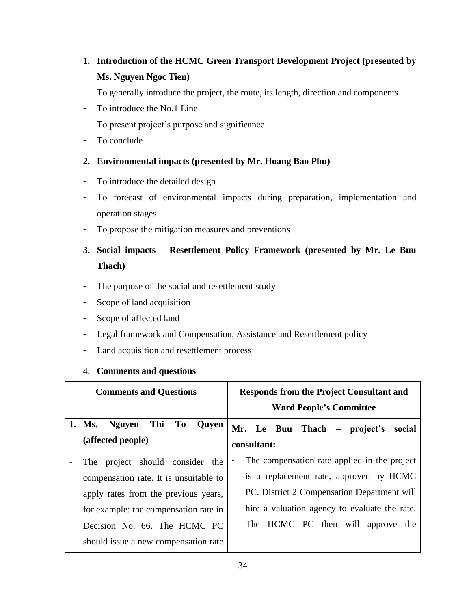# **1. Introduction of the HCMC Green Transport Development Project (presented by Ms. Nguyen Ngoc Tien)**

- To generally introduce the project, the route, its length, direction and components
- To introduce the No.1 Line
- To present project's purpose and significance
- To conclude
- **2. Environmental impacts (presented by Mr. Hoang Bao Phu)**
- To introduce the detailed design
- To forecast of environmental impacts during preparation, implementation and operation stages
- To propose the mitigation measures and preventions

# **3. Social impacts – Resettlement Policy Framework (presented by Mr. Le Buu Thach)**

- The purpose of the social and resettlement study
- Scope of land acquisition
- Scope of affected land
- Legal framework and Compensation, Assistance and Resettlement policy
- Land acquisition and resettlement process

#### 4. **Comments and questions**

| <b>Comments and Questions</b>                                      | <b>Responds from the Project Consultant and</b><br><b>Ward People's Committee</b> |
|--------------------------------------------------------------------|-----------------------------------------------------------------------------------|
| Thi<br>To<br>1. Ms.<br><b>Nguyen</b><br>Quyen<br>(affected people) | Mr. Le Buu Thach – project's<br>social<br>consultant:                             |
| The project should consider the                                    | The compensation rate applied in the project<br>-                                 |
| compensation rate. It is unsuitable to                             | is a replacement rate, approved by HCMC                                           |
| apply rates from the previous years,                               | PC. District 2 Compensation Department will                                       |
| for example: the compensation rate in                              | hire a valuation agency to evaluate the rate.                                     |
| Decision No. 66. The HCMC PC                                       | The HCMC PC then will approve the                                                 |
| should issue a new compensation rate                               |                                                                                   |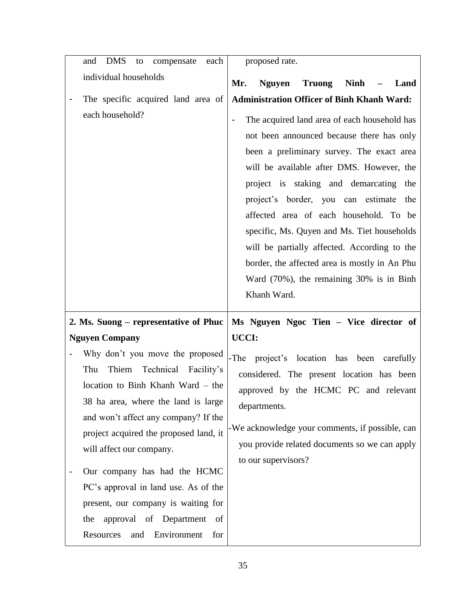| <b>DMS</b><br>each<br>and<br>to<br>compensate                                                                                                                                                                                                                                                                                                                                                                        | proposed rate.                                                                                                                                                                                                                                                                                                                                                                                                                                                                                                                  |  |  |
|----------------------------------------------------------------------------------------------------------------------------------------------------------------------------------------------------------------------------------------------------------------------------------------------------------------------------------------------------------------------------------------------------------------------|---------------------------------------------------------------------------------------------------------------------------------------------------------------------------------------------------------------------------------------------------------------------------------------------------------------------------------------------------------------------------------------------------------------------------------------------------------------------------------------------------------------------------------|--|--|
| individual households                                                                                                                                                                                                                                                                                                                                                                                                | Mr.<br><b>Nguyen</b><br><b>Truong</b><br><b>Ninh</b><br>Land                                                                                                                                                                                                                                                                                                                                                                                                                                                                    |  |  |
| The specific acquired land area of                                                                                                                                                                                                                                                                                                                                                                                   | <b>Administration Officer of Binh Khanh Ward:</b>                                                                                                                                                                                                                                                                                                                                                                                                                                                                               |  |  |
| each household?                                                                                                                                                                                                                                                                                                                                                                                                      | The acquired land area of each household has<br>not been announced because there has only<br>been a preliminary survey. The exact area<br>will be available after DMS. However, the<br>project is staking and demarcating the<br>project's border, you can estimate<br>the<br>affected area of each household. To be<br>specific, Ms. Quyen and Ms. Tiet households<br>will be partially affected. According to the<br>border, the affected area is mostly in An Phu<br>Ward (70%), the remaining 30% is in Binh<br>Khanh Ward. |  |  |
| 2. Ms. Suong – representative of Phuc                                                                                                                                                                                                                                                                                                                                                                                | Ms Nguyen Ngoc Tien - Vice director of                                                                                                                                                                                                                                                                                                                                                                                                                                                                                          |  |  |
| <b>Nguyen Company</b>                                                                                                                                                                                                                                                                                                                                                                                                | UCCI:                                                                                                                                                                                                                                                                                                                                                                                                                                                                                                                           |  |  |
| Why don't you move the proposed<br>Thiem Technical Facility's<br>Thu<br>location to Binh Khanh Ward – the<br>38 ha area, where the land is large<br>and won't affect any company? If the<br>project acquired the proposed land, it<br>will affect our company.<br>Our company has had the HCMC<br>PC's approval in land use. As of the<br>present, our company is waiting for<br>approval of Department<br>the<br>of | project's location has been carefully<br>-The<br>considered. The present location has been<br>approved by the HCMC PC and relevant<br>departments.<br>-We acknowledge your comments, if possible, can<br>you provide related documents so we can apply<br>to our supervisors?                                                                                                                                                                                                                                                   |  |  |
|                                                                                                                                                                                                                                                                                                                                                                                                                      |                                                                                                                                                                                                                                                                                                                                                                                                                                                                                                                                 |  |  |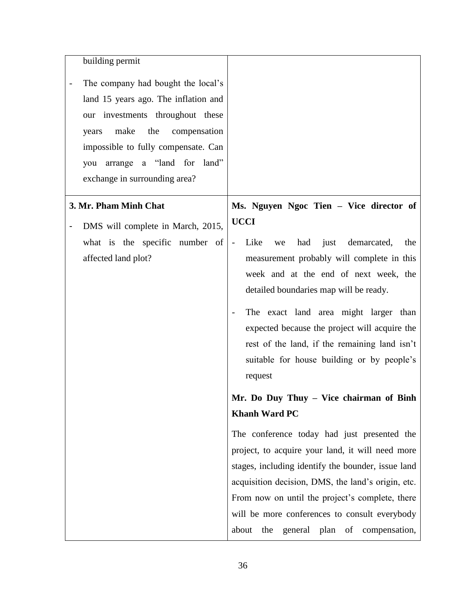| building permit                      |                                                                             |
|--------------------------------------|-----------------------------------------------------------------------------|
| The company had bought the local's   |                                                                             |
| land 15 years ago. The inflation and |                                                                             |
| our investments throughout these     |                                                                             |
| make<br>the<br>compensation<br>years |                                                                             |
| impossible to fully compensate. Can  |                                                                             |
| arrange a "land for land"<br>you     |                                                                             |
| exchange in surrounding area?        |                                                                             |
| 3. Mr. Pham Minh Chat                | Ms. Nguyen Ngoc Tien - Vice director of                                     |
| DMS will complete in March, 2015,    | <b>UCCI</b>                                                                 |
| what is the specific number of       | Like<br>just<br>demarcated,<br>had<br>the<br>we<br>$\overline{\phantom{a}}$ |
| affected land plot?                  | measurement probably will complete in this                                  |
|                                      | week and at the end of next week, the                                       |
|                                      | detailed boundaries map will be ready.                                      |
|                                      | The exact land area might larger than                                       |
|                                      | expected because the project will acquire the                               |
|                                      | rest of the land, if the remaining land isn't                               |
|                                      | suitable for house building or by people's                                  |
|                                      | request                                                                     |
|                                      | Mr. Do Duy Thuy - Vice chairman of Binh                                     |
|                                      | <b>Khanh Ward PC</b>                                                        |
|                                      | The conference today had just presented the                                 |
|                                      | project, to acquire your land, it will need more                            |
|                                      | stages, including identify the bounder, issue land                          |
|                                      | acquisition decision, DMS, the land's origin, etc.                          |
|                                      | From now on until the project's complete, there                             |
|                                      | will be more conferences to consult everybody                               |
|                                      | general plan of compensation,<br>about<br>the                               |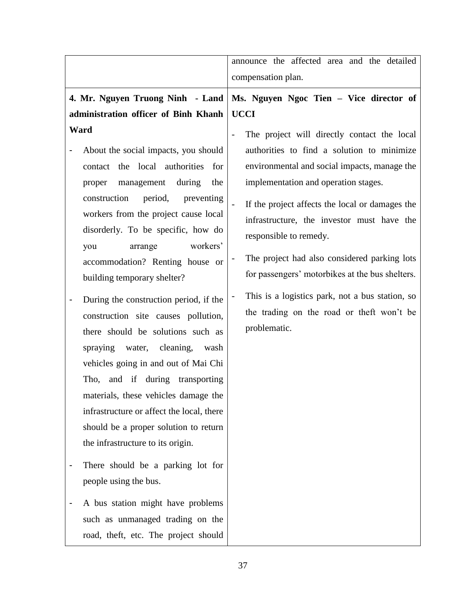|                                                                                                                                                                                                                                                                                                                                                                                                                                                                                                                                                                                                                                                                                                                                                                                                                                                                                                                                              | announce the affected area and the detailed<br>compensation plan.                                                                                                                                                                                                                                                                                                                                                                                                                                                               |
|----------------------------------------------------------------------------------------------------------------------------------------------------------------------------------------------------------------------------------------------------------------------------------------------------------------------------------------------------------------------------------------------------------------------------------------------------------------------------------------------------------------------------------------------------------------------------------------------------------------------------------------------------------------------------------------------------------------------------------------------------------------------------------------------------------------------------------------------------------------------------------------------------------------------------------------------|---------------------------------------------------------------------------------------------------------------------------------------------------------------------------------------------------------------------------------------------------------------------------------------------------------------------------------------------------------------------------------------------------------------------------------------------------------------------------------------------------------------------------------|
| 4. Mr. Nguyen Truong Ninh - Land<br>administration officer of Binh Khanh                                                                                                                                                                                                                                                                                                                                                                                                                                                                                                                                                                                                                                                                                                                                                                                                                                                                     | Ms. Nguyen Ngoc Tien - Vice director of<br><b>UCCI</b>                                                                                                                                                                                                                                                                                                                                                                                                                                                                          |
| Ward<br>About the social impacts, you should<br>the local authorities<br>for<br>contact<br>the<br>management<br>during<br>proper<br>construction<br>period,<br>preventing<br>workers from the project cause local<br>disorderly. To be specific, how do<br>workers'<br>arrange<br>you<br>accommodation? Renting house or<br>building temporary shelter?<br>During the construction period, if the<br>construction site causes pollution,<br>there should be solutions such as<br>spraying water, cleaning, wash<br>vehicles going in and out of Mai Chi<br>Tho, and if during transporting<br>materials, these vehicles damage the<br>infrastructure or affect the local, there<br>should be a proper solution to return<br>the infrastructure to its origin.<br>There should be a parking lot for<br>people using the bus.<br>A bus station might have problems<br>such as unmanaged trading on the<br>road, theft, etc. The project should | The project will directly contact the local<br>authorities to find a solution to minimize<br>environmental and social impacts, manage the<br>implementation and operation stages.<br>If the project affects the local or damages the<br>infrastructure, the investor must have the<br>responsible to remedy.<br>The project had also considered parking lots<br>for passengers' motorbikes at the bus shelters.<br>This is a logistics park, not a bus station, so<br>the trading on the road or theft won't be<br>problematic. |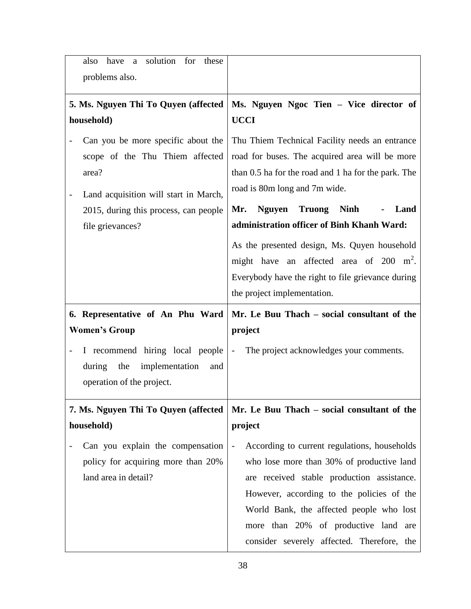| solution<br>for<br>these<br>also<br>have<br>a<br>problems also.                                                                                                                      |                                                                                                                                                                                                                                                                                                                                                                                                                                                                                        |  |  |  |  |
|--------------------------------------------------------------------------------------------------------------------------------------------------------------------------------------|----------------------------------------------------------------------------------------------------------------------------------------------------------------------------------------------------------------------------------------------------------------------------------------------------------------------------------------------------------------------------------------------------------------------------------------------------------------------------------------|--|--|--|--|
| 5. Ms. Nguyen Thi To Quyen (affected<br>household)                                                                                                                                   | Ms. Nguyen Ngoc Tien - Vice director of<br><b>UCCI</b>                                                                                                                                                                                                                                                                                                                                                                                                                                 |  |  |  |  |
| Can you be more specific about the<br>scope of the Thu Thiem affected<br>area?<br>Land acquisition will start in March,<br>2015, during this process, can people<br>file grievances? | Thu Thiem Technical Facility needs an entrance<br>road for buses. The acquired area will be more<br>than 0.5 ha for the road and 1 ha for the park. The<br>road is 80m long and 7m wide.<br><b>Truong Ninh</b><br>Mr.<br><b>Nguyen</b><br>Land<br>administration officer of Binh Khanh Ward:<br>As the presented design, Ms. Quyen household<br>might have an affected area of $200 \text{ m}^2$ .<br>Everybody have the right to file grievance during<br>the project implementation. |  |  |  |  |
|                                                                                                                                                                                      |                                                                                                                                                                                                                                                                                                                                                                                                                                                                                        |  |  |  |  |
| 6. Representative of An Phu Ward                                                                                                                                                     | Mr. Le Buu Thach – social consultant of the                                                                                                                                                                                                                                                                                                                                                                                                                                            |  |  |  |  |
| <b>Women's Group</b><br>I recommend hiring local people<br>the<br>implementation<br>during<br>and<br>operation of the project.                                                       | project<br>The project acknowledges your comments.<br>$\overline{\phantom{a}}$                                                                                                                                                                                                                                                                                                                                                                                                         |  |  |  |  |
| 7. Ms. Nguyen Thi To Quyen (affected<br>household)                                                                                                                                   | Mr. Le Buu Thach - social consultant of the<br>project                                                                                                                                                                                                                                                                                                                                                                                                                                 |  |  |  |  |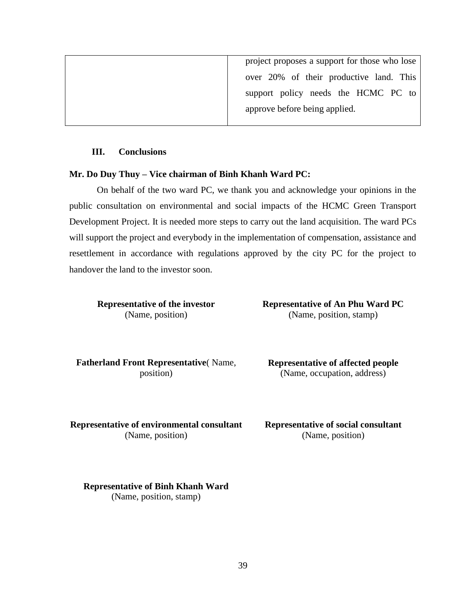| project proposes a support for those who lose |  |  |  |
|-----------------------------------------------|--|--|--|
| over 20% of their productive land. This       |  |  |  |
| support policy needs the HCMC PC to           |  |  |  |
| approve before being applied.                 |  |  |  |
|                                               |  |  |  |

#### **III. Conclusions**

#### **Mr. Do Duy Thuy – Vice chairman of Binh Khanh Ward PC:**

On behalf of the two ward PC, we thank you and acknowledge your opinions in the public consultation on environmental and social impacts of the HCMC Green Transport Development Project. It is needed more steps to carry out the land acquisition. The ward PCs will support the project and everybody in the implementation of compensation, assistance and resettlement in accordance with regulations approved by the city PC for the project to handover the land to the investor soon.

**Representative of the investor** (Name, position)

**Representative of An Phu Ward PC** (Name, position, stamp)

**Fatherland Front Representative**( Name, position)

**Representative of affected people** (Name, occupation, address)

**Representative of environmental consultant** (Name, position)

**Representative of social consultant** (Name, position)

**Representative of Binh Khanh Ward** (Name, position, stamp)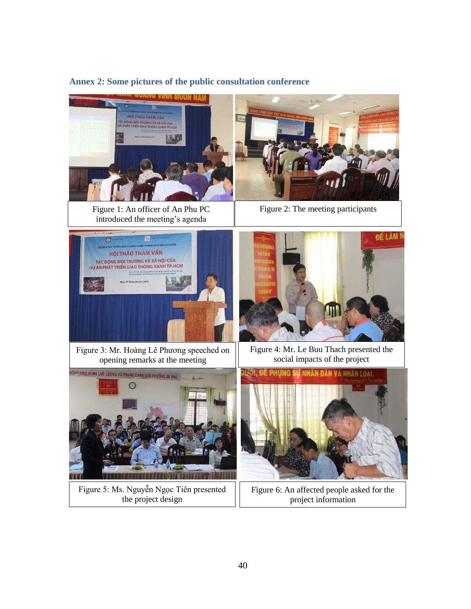

#### <span id="page-48-0"></span>**Annex 2: Some pictures of the public consultation conference**

Figure 1: An officer of An Phu PC introduced the meeting's agenda

Figure 2: The meeting participants



Figure 3: Mr. Hoàng Lê Phương speeched on opening remarks at the meeting



Figure 5: Ms. Nguyễn Ngọc Tiên presented the project design



Figure 4: Mr. Le Buu Thach presented the social impacts of the project



Figure 6: An affected people asked for the project information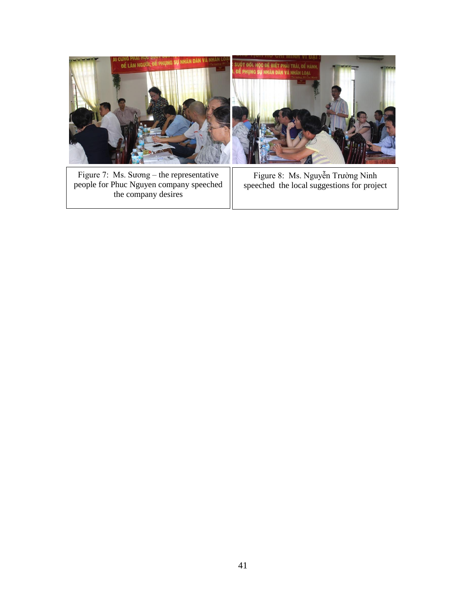

Figure 7: Ms. Sương – the representative people for Phuc Nguyen company speeched the company desires

Figure 8: Ms. Nguyễn Trường Ninh speeched the local suggestions for project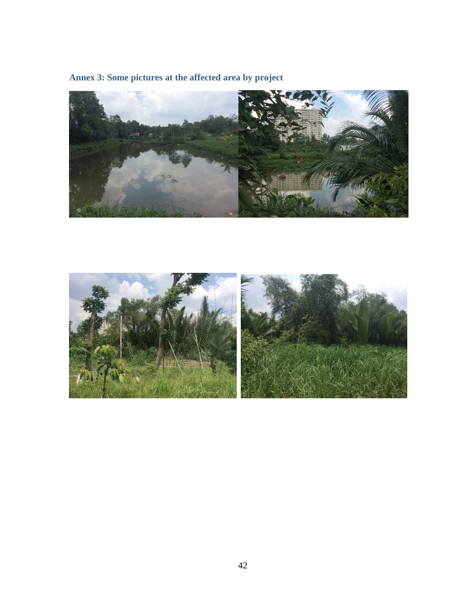# <span id="page-50-0"></span>**Annex 3: Some pictures at the affected area by project**